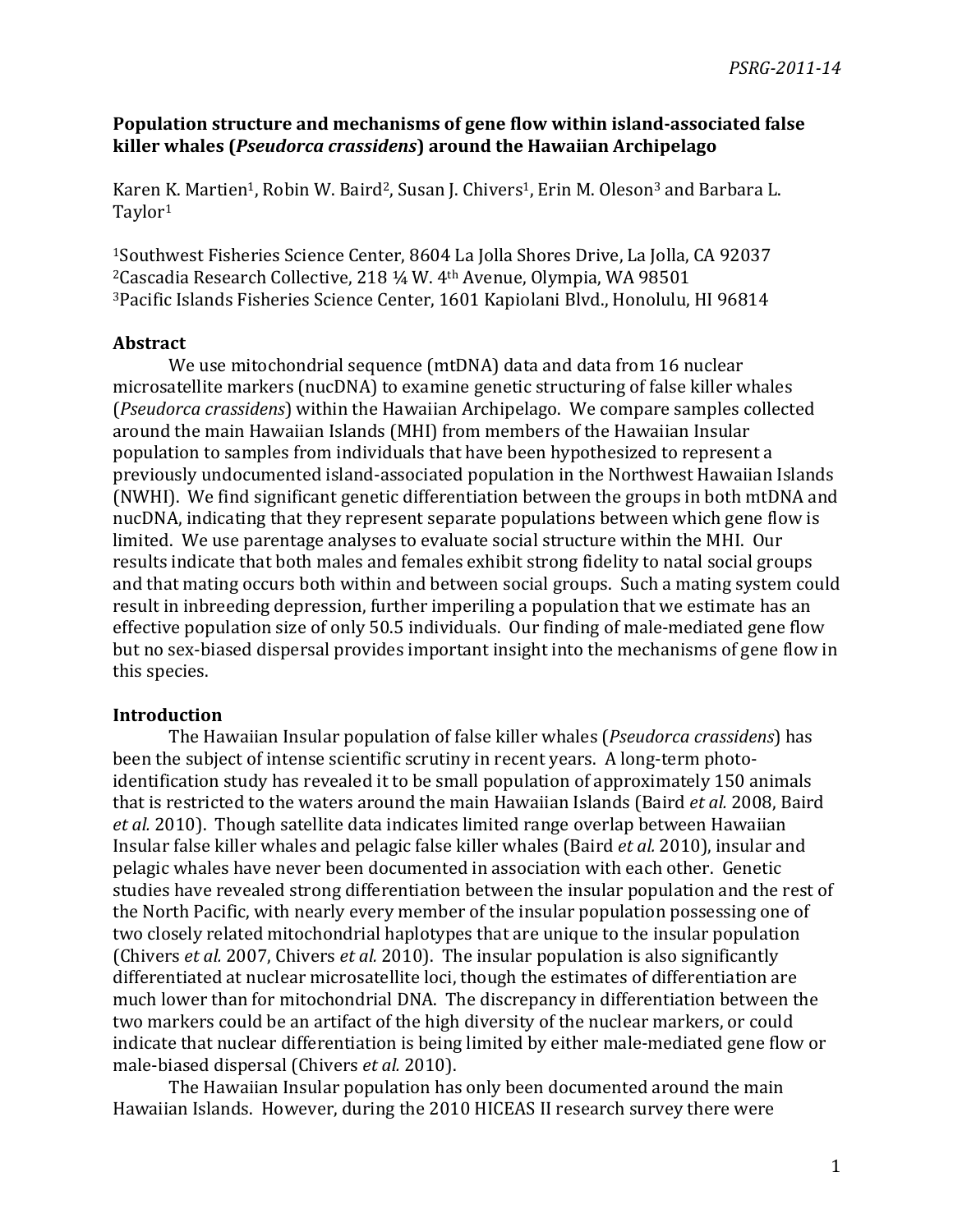## **Population structure and mechanisms of gene flow within island-associated false killer\*whales\*(***Pseudorca\*crassidens***)\*around\*the\*Hawaiian\*Archipelago**

Karen K. Martien<sup>1</sup>, Robin W. Baird<sup>2</sup>, Susan J. Chivers<sup>1</sup>, Erin M. Oleson<sup>3</sup> and Barbara L. Taylor1

<sup>1</sup>Southwest Fisheries Science Center, 8604 La Jolla Shores Drive, La Jolla, CA 92037 <sup>2</sup>Cascadia Research Collective, 218 ¼ W. 4<sup>th</sup> Avenue, Olympia, WA 98501 <sup>3</sup>Pacific Islands Fisheries Science Center, 1601 Kapiolani Blvd., Honolulu, HI 96814

## **Abstract**

We use mitochondrial sequence (mtDNA) data and data from 16 nuclear microsatellite markers (nucDNA) to examine genetic structuring of false killer whales (*Pseudorca crassidens*) within the Hawaiian Archipelago. We compare samples collected around the main Hawaiian Islands (MHI) from members of the Hawaiian Insular population to samples from individuals that have been hypothesized to represent a previously undocumented island-associated population in the Northwest Hawaiian Islands (NWHI). We find significant genetic differentiation between the groups in both mtDNA and nucDNA, indicating that they represent separate populations between which gene flow is limited. We use parentage analyses to evaluate social structure within the MHI. Our results indicate that both males and females exhibit strong fidelity to natal social groups and that mating occurs both within and between social groups. Such a mating system could result in inbreeding depression, further imperiling a population that we estimate has an effective population size of only 50.5 individuals. Our finding of male-mediated gene flow but no sex-biased dispersal provides important insight into the mechanisms of gene flow in this species.

## **Introduction**

The Hawaiian Insular population of false killer whales (*Pseudorca crassidens*) has been the subject of intense scientific scrutiny in recent years. A long-term photoidentification study has revealed it to be small population of approximately 150 animals that is restricted to the waters around the main Hawaiian Islands (Baird *et al.* 2008, Baird *et al.* 2010). Though satellite data indicates limited range overlap between Hawaiian Insular false killer whales and pelagic false killer whales (Baird *et al.* 2010), insular and pelagic whales have never been documented in association with each other. Genetic studies have revealed strong differentiation between the insular population and the rest of the North Pacific, with nearly every member of the insular population possessing one of two closely related mitochondrial haplotypes that are unique to the insular population (Chivers *et al.* 2007, Chivers *et al.* 2010). The insular population is also significantly differentiated at nuclear microsatellite loci, though the estimates of differentiation are much lower than for mitochondrial DNA. The discrepancy in differentiation between the two markers could be an artifact of the high diversity of the nuclear markers, or could indicate that nuclear differentiation is being limited by either male-mediated gene flow or male-biased dispersal (Chivers *et al.* 2010).

The Hawaiian Insular population has only been documented around the main Hawaiian Islands. However, during the 2010 HICEAS II research survey there were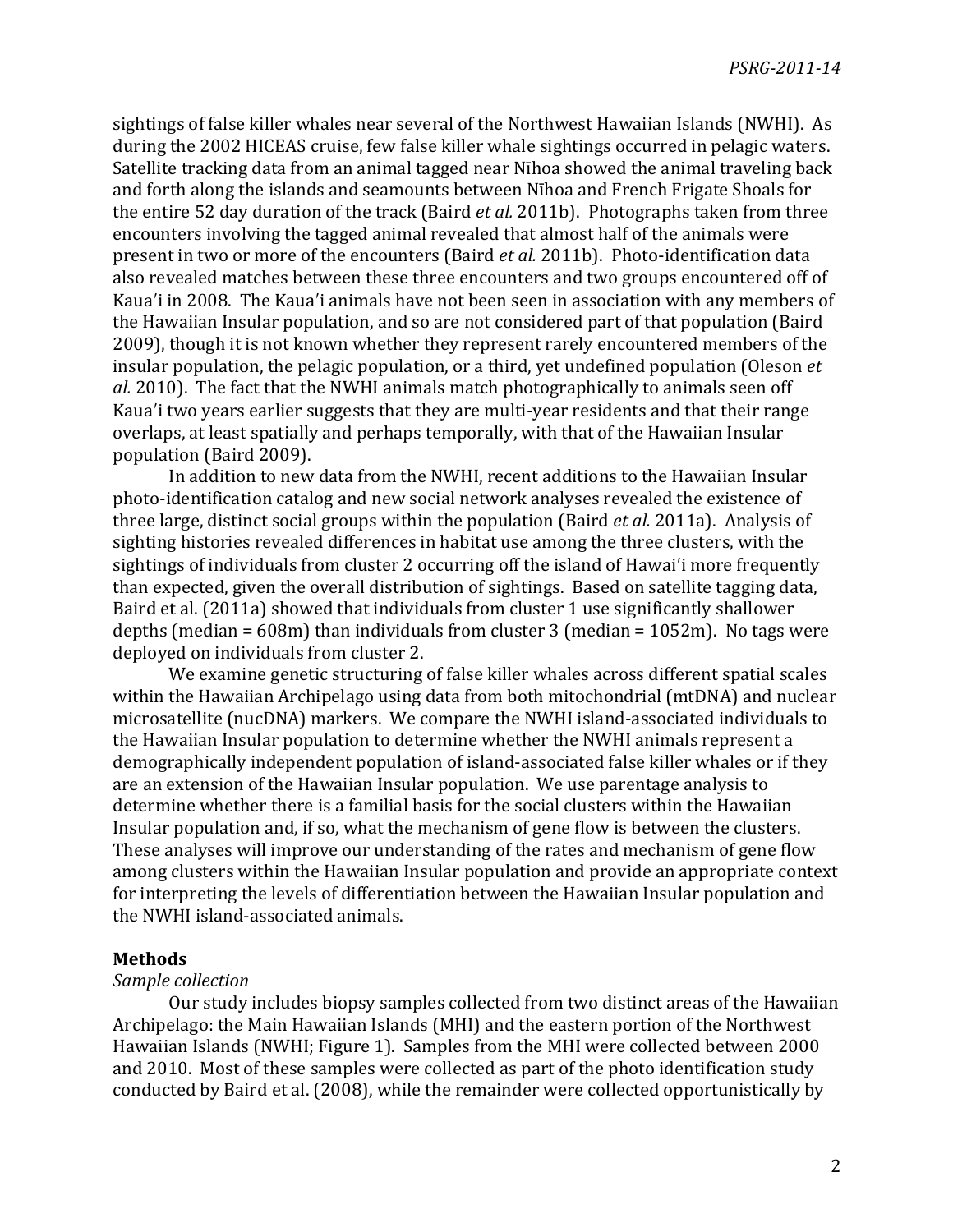sightings of false killer whales near several of the Northwest Hawaiian Islands (NWHI). As during the 2002 HICEAS cruise, few false killer whale sightings occurred in pelagic waters. Satellite tracking data from an animal tagged near Nīhoa showed the animal traveling back and forth along the islands and seamounts between Nīhoa and French Frigate Shoals for the entire 52 day duration of the track (Baird *et al.* 2011b). Photographs taken from three encounters involving the tagged animal revealed that almost half of the animals were present in two or more of the encounters (Baird *et al.* 2011b). Photo-identification data also revealed matches between these three encounters and two groups encountered off of Kaua'i in 2008. The Kaua'i animals have not been seen in association with any members of the Hawaiian Insular population, and so are not considered part of that population (Baird 2009), though it is not known whether they represent rarely encountered members of the insular population, the pelagic population, or a third, yet undefined population (Oleson *et al.* 2010). The fact that the NWHI animals match photographically to animals seen off Kaua'i two years earlier suggests that they are multi-year residents and that their range overlaps, at least spatially and perhaps temporally, with that of the Hawaiian Insular population (Baird 2009).

In addition to new data from the NWHI, recent additions to the Hawaiian Insular photo-identification catalog and new social network analyses revealed the existence of three large, distinct social groups within the population (Baird *et al.* 2011a). Analysis of sighting histories revealed differences in habitat use among the three clusters, with the sightings of individuals from cluster 2 occurring off the island of Hawai'i more frequently than expected, given the overall distribution of sightings. Based on satellite tagging data, Baird et al. (2011a) showed that individuals from cluster 1 use significantly shallower depths (median =  $608m$ ) than individuals from cluster 3 (median =  $1052m$ ). No tags were deployed on individuals from cluster 2.

We examine genetic structuring of false killer whales across different spatial scales within the Hawaiian Archipelago using data from both mitochondrial (mtDNA) and nuclear microsatellite (nucDNA) markers. We compare the NWHI island-associated individuals to the Hawaiian Insular population to determine whether the NWHI animals represent a demographically independent population of island-associated false killer whales or if they are an extension of the Hawaiian Insular population. We use parentage analysis to determine whether there is a familial basis for the social clusters within the Hawaiian Insular population and, if so, what the mechanism of gene flow is between the clusters. These analyses will improve our understanding of the rates and mechanism of gene flow among clusters within the Hawaiian Insular population and provide an appropriate context for interpreting the levels of differentiation between the Hawaiian Insular population and the NWHI island-associated animals.

## **Methods**

#### *Sample\*collection*

Our study includes biopsy samples collected from two distinct areas of the Hawaiian Archipelago: the Main Hawaiian Islands (MHI) and the eastern portion of the Northwest Hawaiian Islands (NWHI; Figure 1). Samples from the MHI were collected between 2000 and 2010. Most of these samples were collected as part of the photo identification study conducted by Baird et al. (2008), while the remainder were collected opportunistically by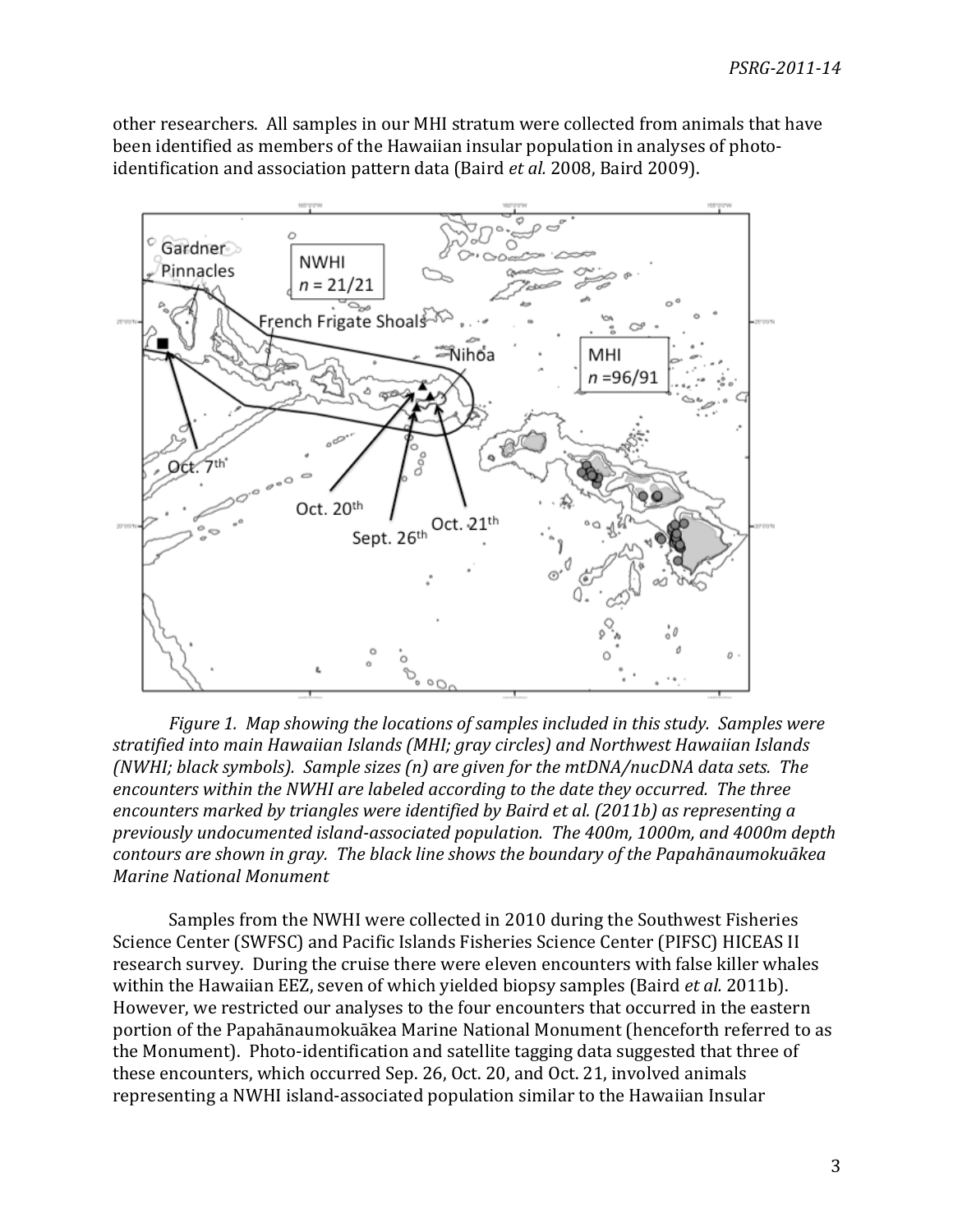other researchers. All samples in our MHI stratum were collected from animals that have been identified as members of the Hawaiian insular population in analyses of photoidentification and association pattern data (Baird *et al.* 2008, Baird 2009).



*Figure\*1.\*\*Map\*showing\*the\*locations\*of\*samples\*included\*in\*this\*study.\*\*Samples\*were\* stratified\*into\*main\*Hawaiian\*Islands\*(MHI;\*gray\*circles)\*and\*Northwest\*Hawaiian\*Islands\* (NWHI; black symbols). Sample sizes (n) are given for the mtDNA/nucDNA data sets. The* encounters within the NWHI are labeled according to the date they occurred. The three *encounters marked by triangles were identified by Baird et al. (2011b) as representing a previously\*undocumented\*island%associated\*population.\*\*The\*400m,\*1000m,\*and\*4000m\*depth\* contours\*are\*shown\*in\*gray.\*\*The\*black\*line\*shows\*the\*boundary\*of\*the\*Papahānaumokuākea\* Marine\*National\*Monument*

Samples from the NWHI were collected in 2010 during the Southwest Fisheries Science Center (SWFSC) and Pacific Islands Fisheries Science Center (PIFSC) HICEAS II research survey. During the cruise there were eleven encounters with false killer whales within the Hawaiian EEZ, seven of which yielded biopsy samples (Baird *et al.* 2011b). However, we restricted our analyses to the four encounters that occurred in the eastern portion of the Papahānaumokuākea Marine National Monument (henceforth referred to as the Monument). Photo-identification and satellite tagging data suggested that three of these encounters, which occurred Sep. 26, Oct. 20, and Oct. 21, involved animals representing a NWHI island-associated population similar to the Hawaiian Insular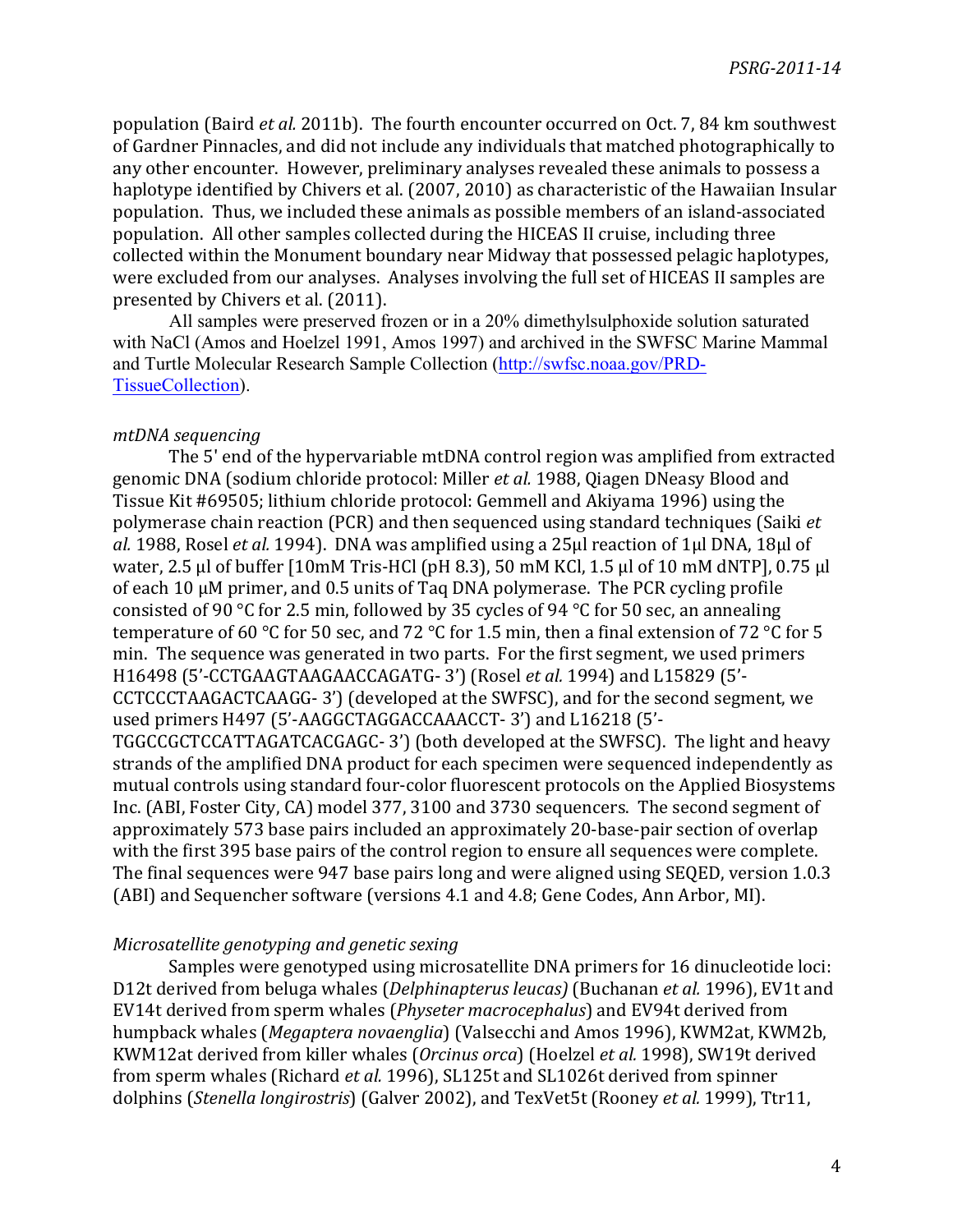population (Baird *et al.* 2011b). The fourth encounter occurred on Oct. 7, 84 km southwest of Gardner Pinnacles, and did not include any individuals that matched photographically to any other encounter. However, preliminary analyses revealed these animals to possess a haplotype identified by Chivers et al. (2007, 2010) as characteristic of the Hawaiian Insular population. Thus, we included these animals as possible members of an island-associated population. All other samples collected during the HICEAS II cruise, including three collected within the Monument boundary near Midway that possessed pelagic haplotypes, were excluded from our analyses. Analyses involving the full set of HICEAS II samples are presented by Chivers et al. (2011).

All samples were preserved frozen or in a 20% dimethylsulphoxide solution saturated with NaCl (Amos and Hoelzel 1991, Amos 1997) and archived in the SWFSC Marine Mammal and Turtle Molecular Research Sample Collection (http://swfsc.noaa.gov/PRD-TissueCollection).

## *mtDNA\*sequencing*

The 5' end of the hypervariable mtDNA control region was amplified from extracted genomic DNA (sodium chloride protocol: Miller *et al.* 1988, Qiagen DNeasy Blood and Tissue Kit #69505; lithium chloride protocol: Gemmell and Akiyama 1996) using the polymerase chain reaction (PCR) and then sequenced using standard techniques (Saiki *et*) *al.* 1988, Rosel *et al.* 1994). DNA was amplified using a 25μl reaction of 1μl DNA, 18μl of water, 2.5 µl of buffer [10mM Tris-HCl (pH 8.3), 50 mM KCl, 1.5 µl of 10 mM dNTP], 0.75 µl of each 10  $\mu$ M primer, and 0.5 units of Taq DNA polymerase. The PCR cycling profile consisted of 90 °C for 2.5 min, followed by 35 cycles of 94 °C for 50 sec, an annealing temperature of 60 °C for 50 sec, and 72 °C for 1.5 min, then a final extension of 72 °C for 5 min. The sequence was generated in two parts. For the first segment, we used primers H16498 (5'-CCTGAAGTAAGAACCAGATG-3') (Rosel *et al.* 1994) and L15829 (5'-CCTCCCTAAGACTCAAGG-3') (developed at the SWFSC), and for the second segment, we used primers H497 (5'-AAGGCTAGGACCAAACCT-3') and L16218 (5'-TGGCCGCTCCATTAGATCACGAGC-3') (both developed at the SWFSC). The light and heavy strands of the amplified DNA product for each specimen were sequenced independently as mutual controls using standard four-color fluorescent protocols on the Applied Biosystems Inc. (ABI, Foster City, CA) model 377, 3100 and 3730 sequencers. The second segment of approximately 573 base pairs included an approximately 20-base-pair section of overlap with the first 395 base pairs of the control region to ensure all sequences were complete. The final sequences were 947 base pairs long and were aligned using SEQED, version 1.0.3 (ABI) and Sequencher software (versions 4.1 and 4.8; Gene Codes, Ann Arbor, MI).

## *Microsatellite\*genotyping\*and\*genetic\*sexing*

Samples were genotyped using microsatellite DNA primers for 16 dinucleotide loci: D12t derived from beluga whales (*Delphinapterus leucas*) (Buchanan *et al.* 1996), EV1t and EV14t derived from sperm whales (*Physeter macrocephalus*) and EV94t derived from humpback whales (*Megaptera novaenglia*) (Valsecchi and Amos 1996), KWM2at, KWM2b, KWM12at derived from killer whales (*Orcinus orca*) (Hoelzel *et al.* 1998), SW19t derived from sperm whales (Richard *et al.* 1996), SL125t and SL1026t derived from spinner dolphins (*Stenella longirostris*) (Galver 2002), and TexVet5t (Rooney *et al.* 1999), Ttr11,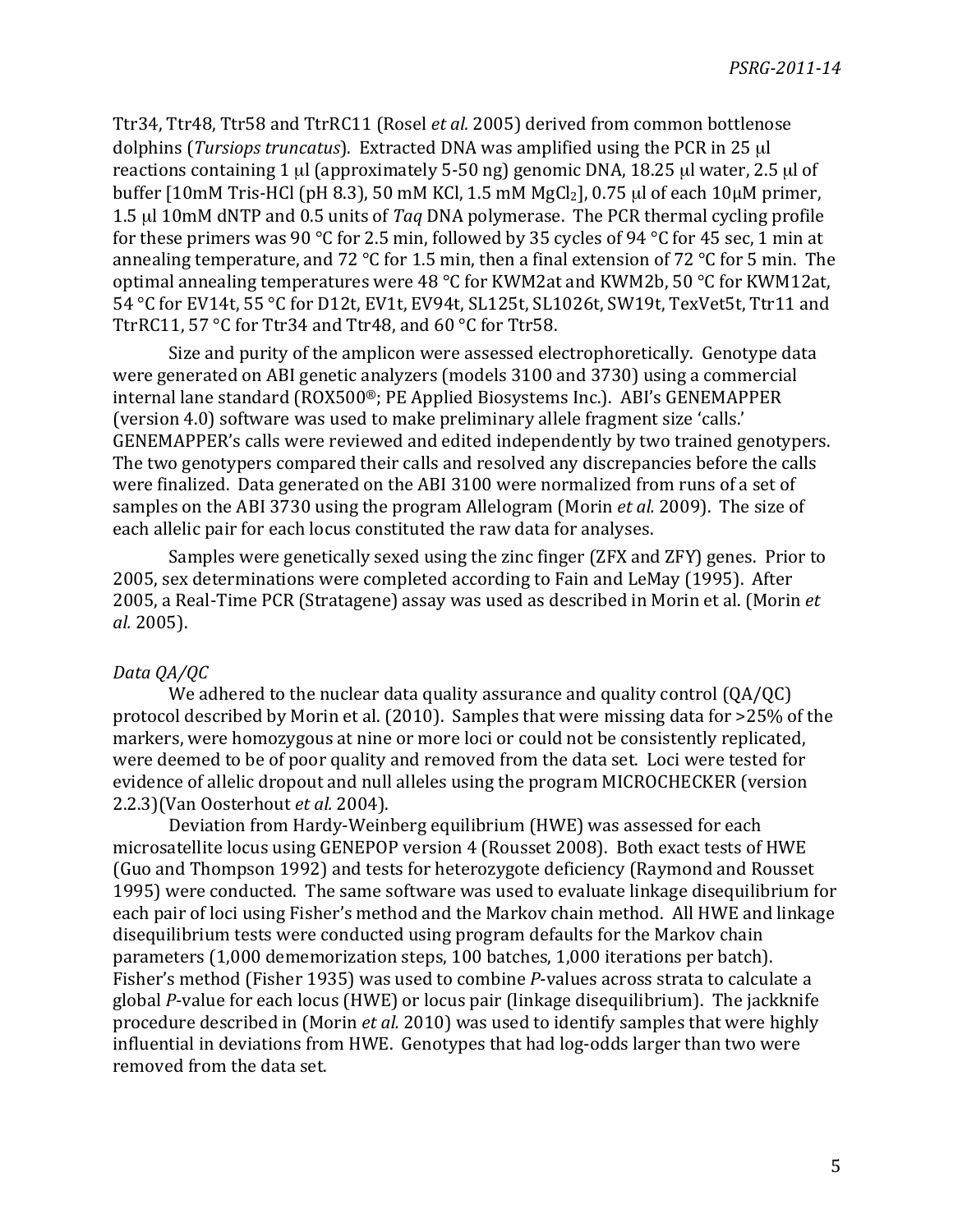Ttr34, Ttr48, Ttr58 and TtrRC11 (Rosel *et al.* 2005) derived from common bottlenose dolphins (*Tursiops truncatus*). Extracted DNA was amplified using the PCR in 25 µl reactions containing 1  $\mu$ l (approximately 5-50 ng) genomic DNA, 18.25  $\mu$ l water, 2.5  $\mu$ l of buffer [10mM Tris-HCl (pH 8.3), 50 mM KCl, 1.5 mM MgCl<sub>2</sub>], 0.75 µl of each 10µM primer, 1.5 µl 10mM dNTP and 0.5 units of *Tag* DNA polymerase. The PCR thermal cycling profile for these primers was 90 °C for 2.5 min, followed by 35 cycles of 94 °C for 45 sec, 1 min at annealing temperature, and 72 °C for 1.5 min, then a final extension of 72 °C for 5 min. The optimal annealing temperatures were 48 °C for KWM2at and KWM2b, 50 °C for KWM12at, 54 °C for EV14t, 55 °C for D12t, EV1t, EV94t, SL125t, SL1026t, SW19t, TexVet5t, Ttr11 and TtrRC11, 57 °C for Ttr34 and Ttr48, and 60 °C for Ttr58.

Size and purity of the amplicon were assessed electrophoretically. Genotype data were generated on ABI genetic analyzers (models 3100 and 3730) using a commercial internal lane standard (ROX500®; PE Applied Biosystems Inc.). ABI's GENEMAPPER (version 4.0) software was used to make preliminary allele fragment size 'calls.' GENEMAPPER's calls were reviewed and edited independently by two trained genotypers. The two genotypers compared their calls and resolved any discrepancies before the calls were finalized. Data generated on the ABI 3100 were normalized from runs of a set of samples on the ABI 3730 using the program Allelogram (Morin *et al.* 2009). The size of each allelic pair for each locus constituted the raw data for analyses.

Samples were genetically sexed using the zinc finger (ZFX and ZFY) genes. Prior to 2005, sex determinations were completed according to Fain and LeMay (1995). After 2005, a Real-Time PCR (Stratagene) assay was used as described in Morin et al. (Morin *et*) *al.* 2005).

## *Data\*QA/QC*

We adhered to the nuclear data quality assurance and quality control  $(QA/QC)$ protocol described by Morin et al. (2010). Samples that were missing data for >25% of the markers, were homozygous at nine or more loci or could not be consistently replicated. were deemed to be of poor quality and removed from the data set. Loci were tested for evidence of allelic dropout and null alleles using the program MICROCHECKER (version 2.2.3)(Van Oosterhout *et al.* 2004).

Deviation from Hardy-Weinberg equilibrium (HWE) was assessed for each microsatellite locus using GENEPOP version 4 (Rousset 2008). Both exact tests of HWE (Guo and Thompson 1992) and tests for heterozygote deficiency (Raymond and Rousset 1995) were conducted. The same software was used to evaluate linkage disequilibrium for each pair of loci using Fisher's method and the Markov chain method. All HWE and linkage disequilibrium tests were conducted using program defaults for the Markov chain parameters (1,000 dememorization steps, 100 batches, 1,000 iterations per batch). Fisher's method (Fisher 1935) was used to combine *P*-values across strata to calculate a global *P*-value for each locus (HWE) or locus pair (linkage disequilibrium). The jackknife procedure described in (Morin *et al.* 2010) was used to identify samples that were highly influential in deviations from HWE. Genotypes that had log-odds larger than two were removed from the data set.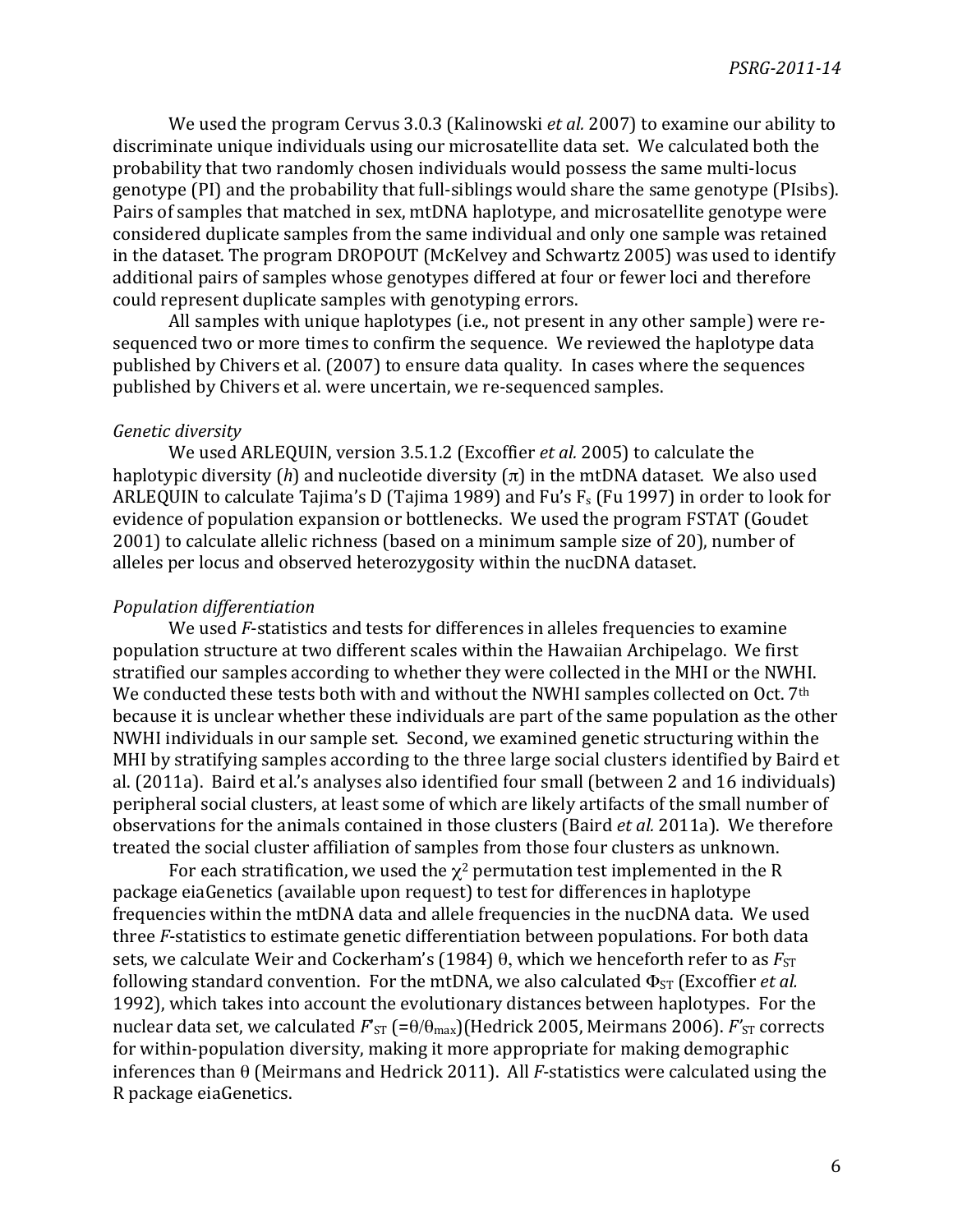We used the program Cervus 3.0.3 (Kalinowski *et al.* 2007) to examine our ability to discriminate unique individuals using our microsatellite data set. We calculated both the probability that two randomly chosen individuals would possess the same multi-locus genotype (PI) and the probability that full-siblings would share the same genotype (PIsibs). Pairs of samples that matched in sex, mtDNA haplotype, and microsatellite genotype were considered duplicate samples from the same individual and only one sample was retained in the dataset. The program DROPOUT (McKelvey and Schwartz 2005) was used to identify additional pairs of samples whose genotypes differed at four or fewer loci and therefore could represent duplicate samples with genotyping errors.

All samples with unique haplotypes (i.e., not present in any other sample) were resequenced two or more times to confirm the sequence. We reviewed the haplotype data published by Chivers et al. (2007) to ensure data quality. In cases where the sequences published by Chivers et al. were uncertain, we re-sequenced samples.

#### *Genetic\*diversity*

We used ARLEQUIN, version 3.5.1.2 (Excoffier *et al.* 2005) to calculate the haplotypic diversity  $(h)$  and nucleotide diversity  $(\pi)$  in the mtDNA dataset. We also used ARLEQUIN to calculate Tajima's D (Tajima 1989) and Fu's  $F_s$  (Fu 1997) in order to look for evidence of population expansion or bottlenecks. We used the program FSTAT (Goudet 2001) to calculate allelic richness (based on a minimum sample size of 20), number of alleles per locus and observed heterozygosity within the nucDNA dataset.

#### *Population\*differentiation*

We used *F*-statistics and tests for differences in alleles frequencies to examine population structure at two different scales within the Hawaiian Archipelago. We first stratified our samples according to whether they were collected in the MHI or the NWHI. We conducted these tests both with and without the NWHI samples collected on Oct. 7<sup>th</sup> because it is unclear whether these individuals are part of the same population as the other NWHI individuals in our sample set. Second, we examined genetic structuring within the MHI by stratifying samples according to the three large social clusters identified by Baird et al. (2011a). Baird et al.'s analyses also identified four small (between 2 and 16 individuals) peripheral social clusters, at least some of which are likely artifacts of the small number of observations for the animals contained in those clusters (Baird *et al.* 2011a). We therefore treated the social cluster affiliation of samples from those four clusters as unknown.

For each stratification, we used the  $\chi^2$  permutation test implemented in the R package eiaGenetics (available upon request) to test for differences in haplotype frequencies within the mtDNA data and allele frequencies in the nucDNA data. We used three *F*-statistics to estimate genetic differentiation between populations. For both data sets, we calculate Weir and Cockerham's (1984)  $\theta$ , which we henceforth refer to as  $F_{ST}$ following standard convention. For the mtDNA, we also calculated  $\Phi_{ST}$  (Excoffier *et al.* 1992), which takes into account the evolutionary distances between haplotypes. For the nuclear data set, we calculated *F*'<sub>ST</sub> (=θ/θ<sub>max</sub>)(Hedrick 2005, Meirmans 2006). *F*'<sub>ST</sub> corrects for within-population diversity, making it more appropriate for making demographic inferences than  $\theta$  (Meirmans and Hedrick 2011). All *F*-statistics were calculated using the R package eiaGenetics.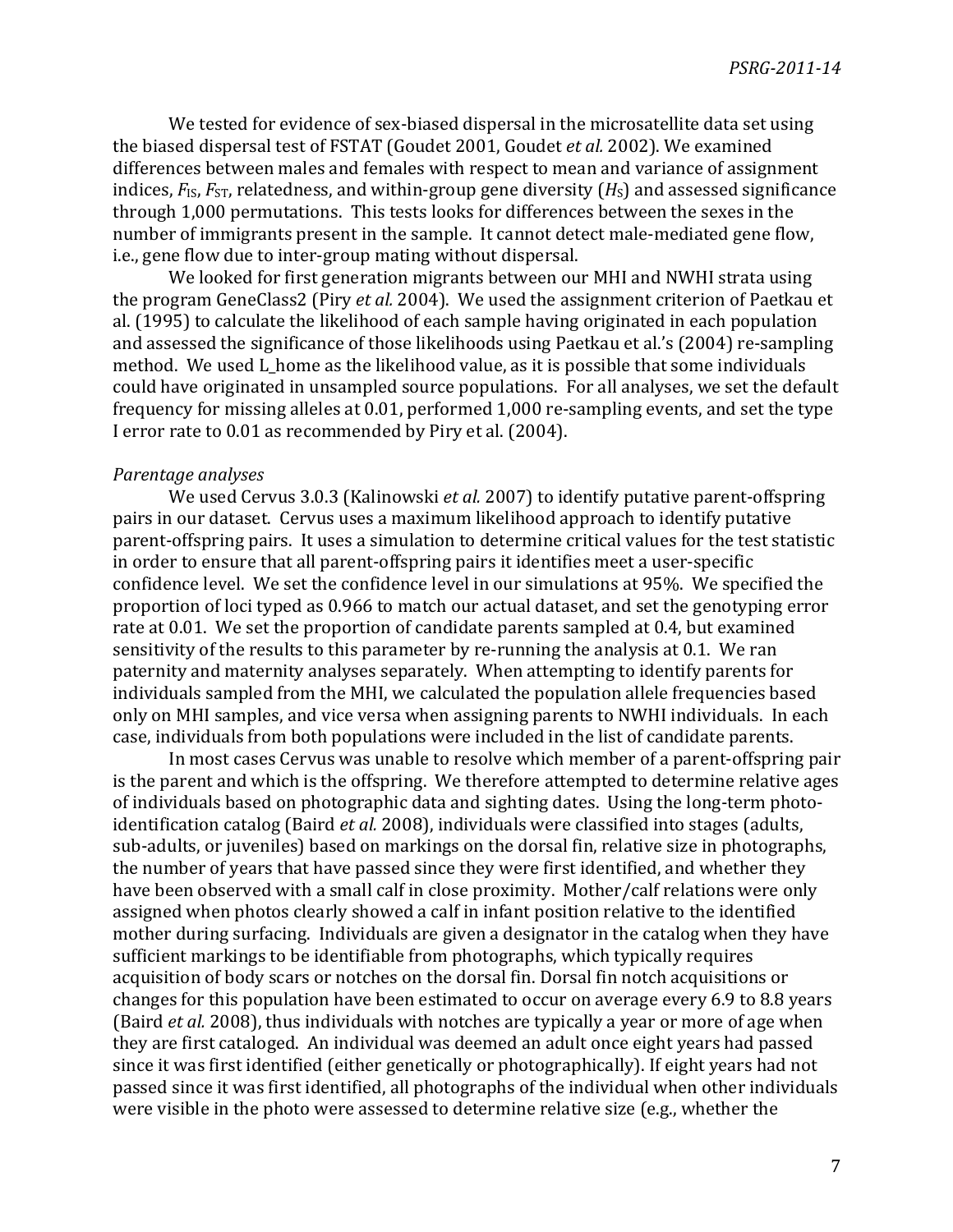We tested for evidence of sex-biased dispersal in the microsatellite data set using the biased dispersal test of FSTAT (Goudet 2001, Goudet *et al.* 2002). We examined differences between males and females with respect to mean and variance of assignment indices,  $F_{\text{IS}}$ ,  $F_{\text{ST}}$ , relatedness, and within-group gene diversity ( $H_{\text{S}}$ ) and assessed significance through 1,000 permutations. This tests looks for differences between the sexes in the number of immigrants present in the sample. It cannot detect male-mediated gene flow, i.e., gene flow due to inter-group mating without dispersal.

We looked for first generation migrants between our MHI and NWHI strata using the program GeneClass2 (Piry *et al.* 2004). We used the assignment criterion of Paetkau et al. (1995) to calculate the likelihood of each sample having originated in each population and assessed the significance of those likelihoods using Paetkau et al.'s (2004) re-sampling method. We used L home as the likelihood value, as it is possible that some individuals could have originated in unsampled source populations. For all analyses, we set the default frequency for missing alleles at 0.01, performed 1,000 re-sampling events, and set the type I error rate to 0.01 as recommended by Piry et al. (2004).

#### *Parentage\*analyses*

We used Cervus 3.0.3 (Kalinowski *et al.* 2007) to identify putative parent-offspring pairs in our dataset. Cervus uses a maximum likelihood approach to identify putative parent-offspring pairs. It uses a simulation to determine critical values for the test statistic in order to ensure that all parent-offspring pairs it identifies meet a user-specific confidence level. We set the confidence level in our simulations at 95%. We specified the proportion of loci typed as 0.966 to match our actual dataset, and set the genotyping error rate at 0.01. We set the proportion of candidate parents sampled at 0.4, but examined sensitivity of the results to this parameter by re-running the analysis at 0.1. We ran paternity and maternity analyses separately. When attempting to identify parents for individuals sampled from the MHI, we calculated the population allele frequencies based only on MHI samples, and vice versa when assigning parents to NWHI individuals. In each case, individuals from both populations were included in the list of candidate parents.

In most cases Cervus was unable to resolve which member of a parent-offspring pair is the parent and which is the offspring. We therefore attempted to determine relative ages of individuals based on photographic data and sighting dates. Using the long-term photoidentification catalog (Baird *et al.* 2008), individuals were classified into stages (adults, sub-adults, or juveniles) based on markings on the dorsal fin, relative size in photographs, the number of years that have passed since they were first identified, and whether they have been observed with a small calf in close proximity. Mother/calf relations were only assigned when photos clearly showed a calf in infant position relative to the identified mother during surfacing. Individuals are given a designator in the catalog when they have sufficient markings to be identifiable from photographs, which typically requires acquisition of body scars or notches on the dorsal fin. Dorsal fin notch acquisitions or changes for this population have been estimated to occur on average every 6.9 to 8.8 years (Baird *et al.* 2008), thus individuals with notches are typically a year or more of age when they are first cataloged. An individual was deemed an adult once eight years had passed since it was first identified (either genetically or photographically). If eight years had not passed since it was first identified, all photographs of the individual when other individuals were visible in the photo were assessed to determine relative size (e.g., whether the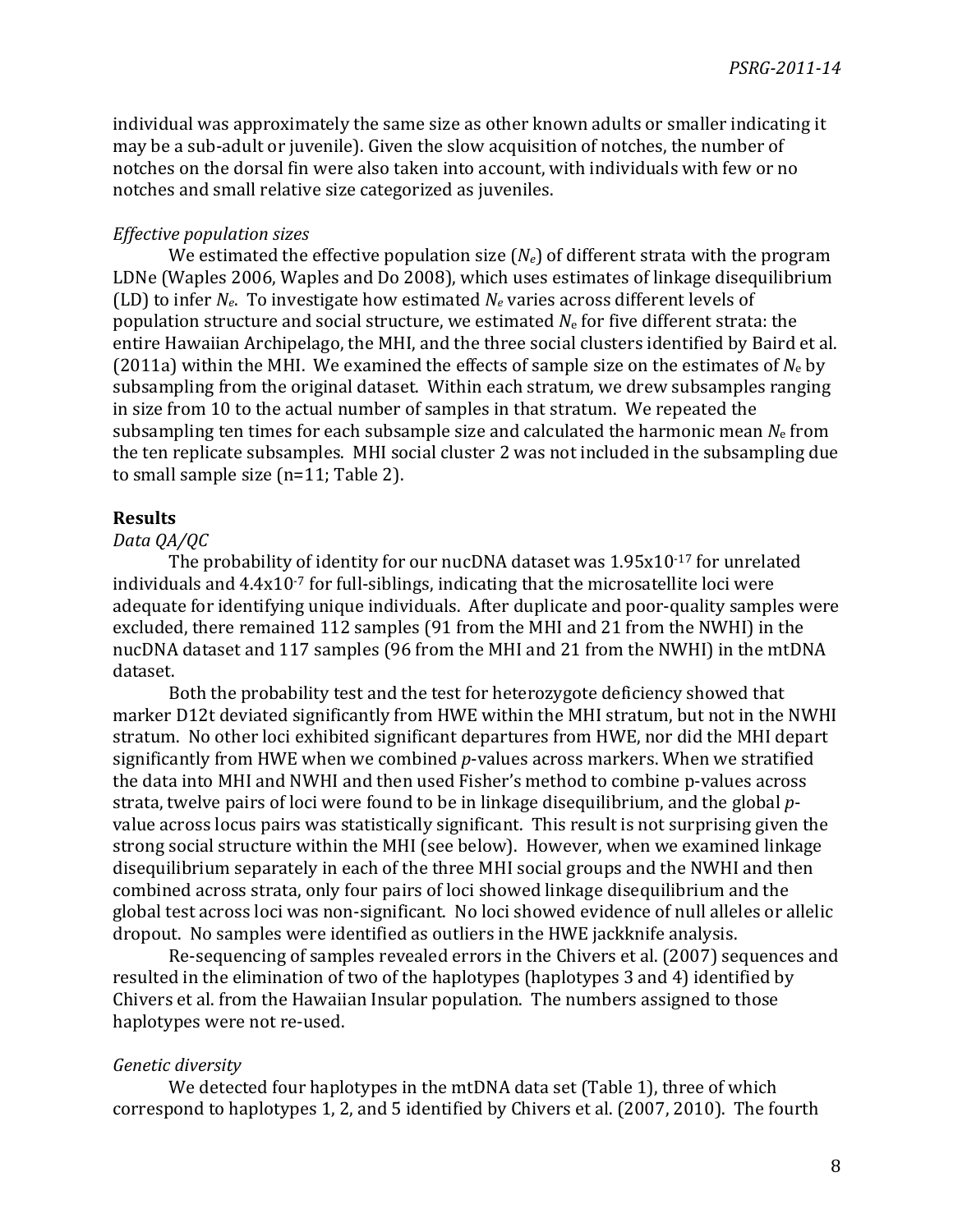individual was approximately the same size as other known adults or smaller indicating it may be a sub-adult or juvenile). Given the slow acquisition of notches, the number of notches on the dorsal fin were also taken into account, with individuals with few or no notches and small relative size categorized as juveniles.

### *Effective\*population\*sizes*

We estimated the effective population size  $(N_e)$  of different strata with the program LDNe (Waples 2006, Waples and Do 2008), which uses estimates of linkage disequilibrium (LD) to infer  $N_e$ . To investigate how estimated  $N_e$  varies across different levels of population structure and social structure, we estimated  $N<sub>e</sub>$  for five different strata: the entire Hawaiian Archipelago, the MHI, and the three social clusters identified by Baird et al. (2011a) within the MHI. We examined the effects of sample size on the estimates of  $N_e$  by subsampling from the original dataset. Within each stratum, we drew subsamples ranging in size from 10 to the actual number of samples in that stratum. We repeated the subsampling ten times for each subsample size and calculated the harmonic mean  $N_e$  from the ten replicate subsamples. MHI social cluster 2 was not included in the subsampling due to small sample size  $(n=11;$  Table 2).

### **Results**

## *Data\*QA/QC*

The probability of identity for our nucDNA dataset was  $1.95x10^{-17}$  for unrelated individuals and  $4.4x10^{-7}$  for full-siblings, indicating that the microsatellite loci were adequate for identifying unique individuals. After duplicate and poor-quality samples were excluded, there remained 112 samples (91 from the MHI and 21 from the NWHI) in the nucDNA dataset and 117 samples (96 from the MHI and 21 from the NWHI) in the mtDNA dataset.

Both the probability test and the test for heterozygote deficiency showed that marker D12t deviated significantly from HWE within the MHI stratum, but not in the NWHI stratum. No other loci exhibited significant departures from HWE, nor did the MHI depart significantly from HWE when we combined p-values across markers. When we stratified the data into MHI and NWHI and then used Fisher's method to combine p-values across strata, twelve pairs of loci were found to be in linkage disequilibrium, and the global pvalue across locus pairs was statistically significant. This result is not surprising given the strong social structure within the MHI (see below). However, when we examined linkage disequilibrium separately in each of the three MHI social groups and the NWHI and then combined across strata, only four pairs of loci showed linkage disequilibrium and the global test across loci was non-significant. No loci showed evidence of null alleles or allelic dropout. No samples were identified as outliers in the HWE jackknife analysis.

Re-sequencing of samples revealed errors in the Chivers et al. (2007) sequences and resulted in the elimination of two of the haplotypes (haplotypes 3 and 4) identified by Chivers et al. from the Hawaiian Insular population. The numbers assigned to those haplotypes were not re-used.

#### *Genetic\*diversity*

We detected four haplotypes in the mtDNA data set (Table 1), three of which correspond to haplotypes 1, 2, and 5 identified by Chivers et al. (2007, 2010). The fourth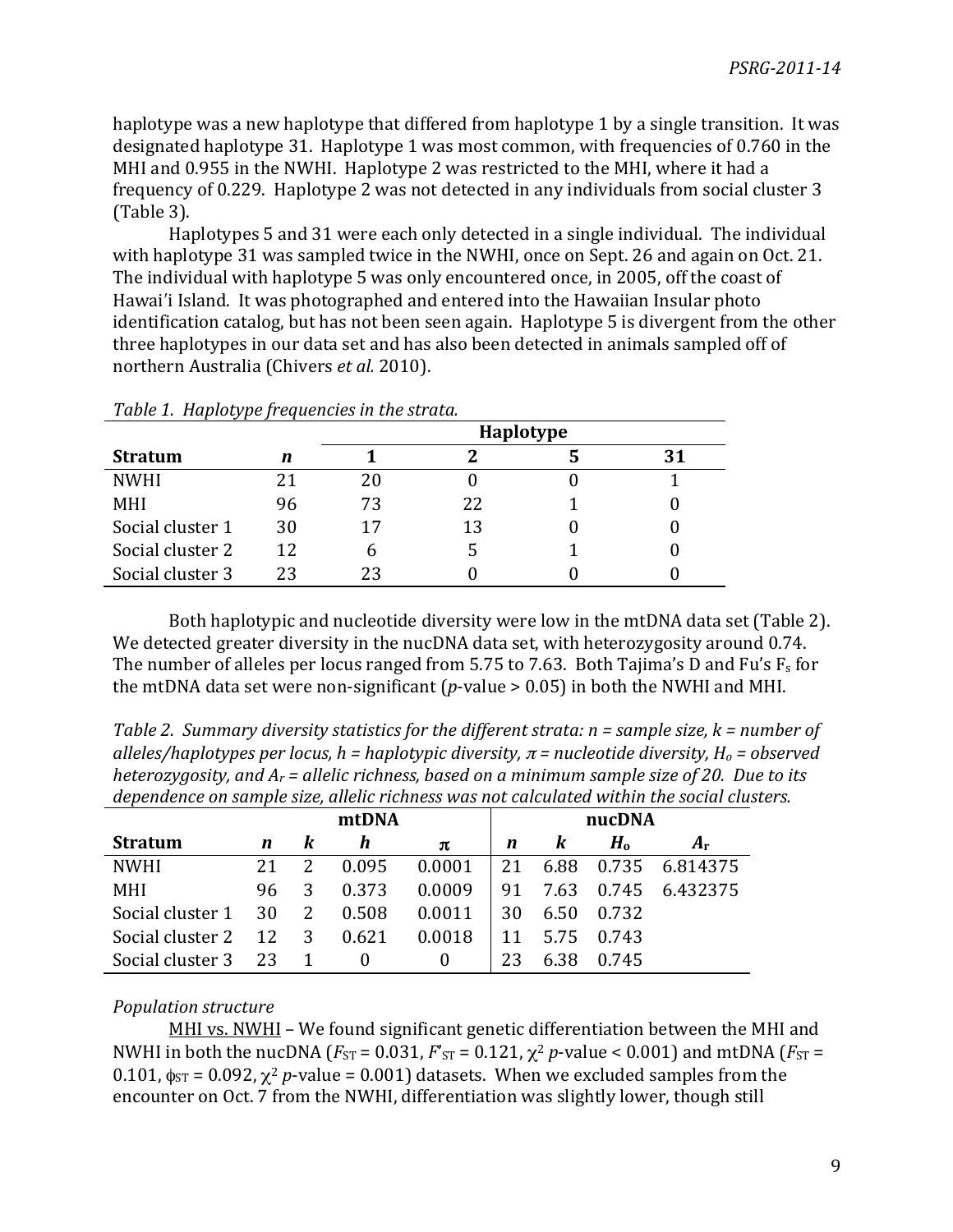haplotype was a new haplotype that differed from haplotype 1 by a single transition. It was designated haplotype 31. Haplotype 1 was most common, with frequencies of 0.760 in the MHI and 0.955 in the NWHI. Haplotype 2 was restricted to the MHI, where it had a frequency of 0.229. Haplotype 2 was not detected in any individuals from social cluster 3  $(Table 3)$ .

Haplotypes 5 and 31 were each only detected in a single individual. The individual with haplotype 31 was sampled twice in the NWHI, once on Sept. 26 and again on Oct. 21. The individual with haplotype 5 was only encountered once, in 2005, off the coast of Hawai'i Island. It was photographed and entered into the Hawaiian Insular photo identification catalog, but has not been seen again. Haplotype 5 is divergent from the other three haplotypes in our data set and has also been detected in animals sampled off of northern Australia (Chivers *et al.* 2010).

| Tubic 1. Huptorype proguencies in the structure |    |           |    |  |    |  |  |  |  |
|-------------------------------------------------|----|-----------|----|--|----|--|--|--|--|
|                                                 |    | Haplotype |    |  |    |  |  |  |  |
| <b>Stratum</b>                                  | n  |           |    |  | 31 |  |  |  |  |
| <b>NWHI</b>                                     | 21 | 20        |    |  |    |  |  |  |  |
| <b>MHI</b>                                      | 96 | 73        | 22 |  |    |  |  |  |  |
| Social cluster 1                                | 30 | 17        | 13 |  |    |  |  |  |  |
| Social cluster 2                                | 12 | h         |    |  |    |  |  |  |  |
| Social cluster 3                                | 23 | 23        |    |  |    |  |  |  |  |

*Table\*1.\*\*Haplotype\*frequencies\*in\*the\*strata.*

Both haplotypic and nucleotide diversity were low in the mtDNA data set (Table 2). We detected greater diversity in the nucDNA data set, with heterozygosity around 0.74. The number of alleles per locus ranged from 5.75 to 7.63. Both Tajima's D and Fu's  $F_s$  for the mtDNA data set were non-significant ( $p$ -value  $> 0.05$ ) in both the NWHI and MHI.

*Table 2. Summary diversity statistics for the different strata: n = sample size, k = number of alleles/haplotypes per locus, h = haplotypic diversity,*  $\pi$  *= nucleotide diversity, H<sub>o</sub> = observed heterozygosity, and A<sub>r</sub> = allelic richness, based on a minimum sample size of 20. Due to its* dependence on sample size, allelic richness was not calculated within the social clusters.

|                  |    |   | mtDNA    |          |    |      | nucDNA |                |
|------------------|----|---|----------|----------|----|------|--------|----------------|
| <b>Stratum</b>   | n  | K | h        | π        | n  | K    | $H_0$  | Ar             |
| <b>NWHI</b>      | 21 |   | 0.095    | 0.0001   | 21 | 6.88 |        | 0.735 6.814375 |
| MHI              | 96 | 3 | 0.373    | 0.0009   | 91 | 7.63 |        | 0.745 6.432375 |
| Social cluster 1 | 30 | 2 | 0.508    | 0.0011   | 30 | 6.50 | 0.732  |                |
| Social cluster 2 | 12 | 3 | 0.621    | 0.0018   | 11 | 5.75 | 0.743  |                |
| Social cluster 3 | 23 |   | $\theta$ | $\theta$ | 23 | 6.38 | 0.745  |                |

## *Population\*structure*

MHI vs. NWHI – We found significant genetic differentiation between the MHI and NWHI in both the nucDNA ( $F_{ST} = 0.031$ ,  $F'_{ST} = 0.121$ ,  $\chi^2$  *p*-value < 0.001) and mtDNA ( $F_{ST} = 1.031$ ) 0.101,  $\phi_{ST}$  = 0.092,  $\chi^2$  *p*-value = 0.001) datasets. When we excluded samples from the encounter on Oct.  $\overline{7}$  from the NWHI, differentiation was slightly lower, though still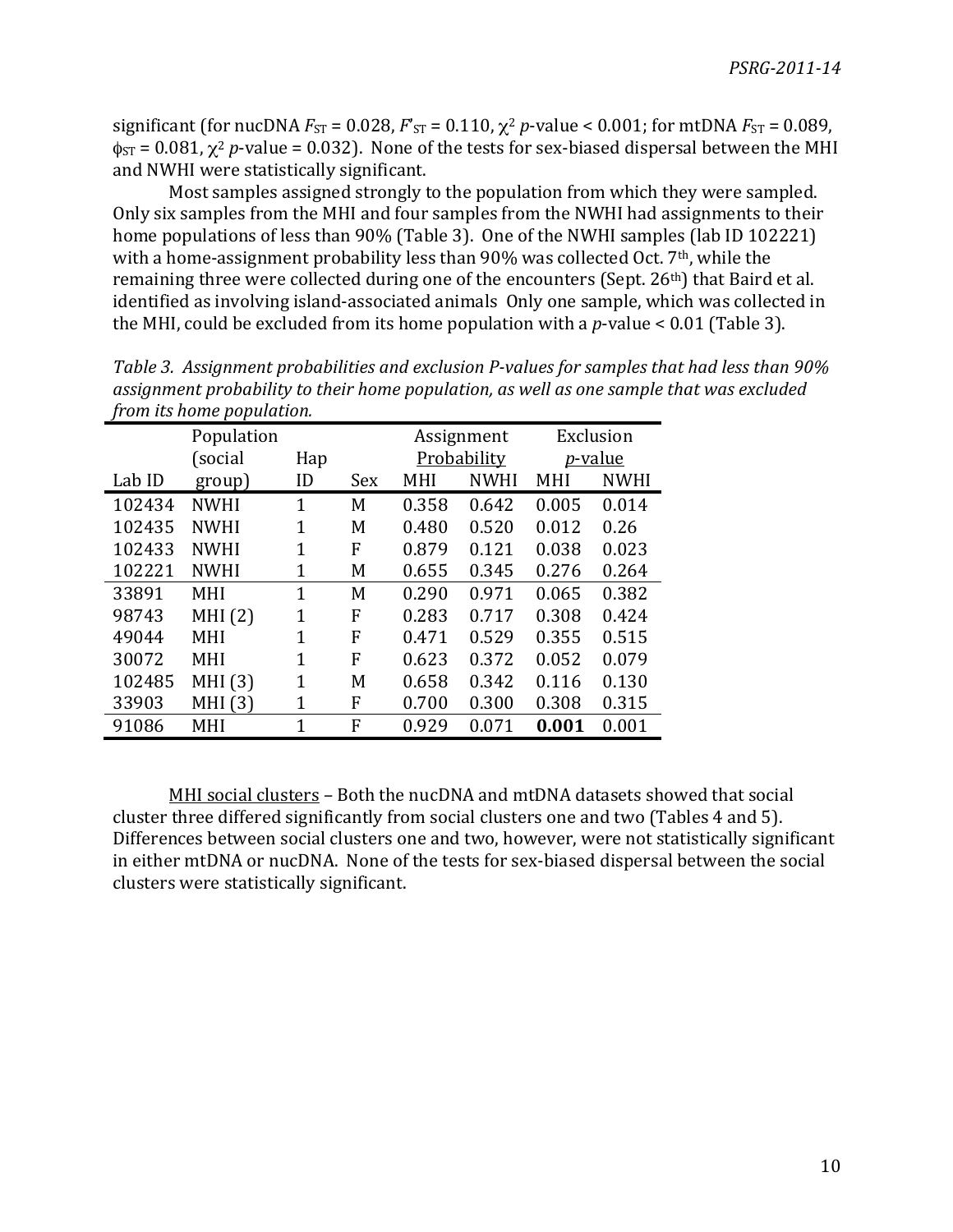significant (for nucDNA  $F_{ST} = 0.028$ ,  $F_{ST} = 0.110$ ,  $\chi^2$  *p*-value < 0.001; for mtDNA  $F_{ST} = 0.089$ ,  $\phi_{ST} = 0.081$ ,  $\chi^2$  *p*-value = 0.032). None of the tests for sex-biased dispersal between the MHI and NWHI were statistically significant.

Most samples assigned strongly to the population from which they were sampled. Only six samples from the MHI and four samples from the NWHI had assignments to their home populations of less than 90% (Table 3). One of the NWHI samples (lab ID 102221) with a home-assignment probability less than 90% was collected Oct. 7<sup>th</sup>, while the remaining three were collected during one of the encounters (Sept. 26<sup>th</sup>) that Baird et al. identified as involving island-associated animals Only one sample, which was collected in the MHI, could be excluded from its home population with a *p*-value < 0.01 (Table 3).

|        | <i>from its nome population.</i> |                |     |       |             |       |                 |
|--------|----------------------------------|----------------|-----|-------|-------------|-------|-----------------|
|        | Population                       |                |     |       | Assignment  |       | Exclusion       |
|        | (social                          | Hap            |     |       | Probability |       | <i>p</i> -value |
| Lab ID | group)                           | ID             | Sex | MHI   | <b>NWHI</b> | MHI   | <b>NWHI</b>     |
| 102434 | <b>NWHI</b>                      | $\overline{1}$ | M   | 0.358 | 0.642       | 0.005 | 0.014           |
| 102435 | <b>NWHI</b>                      | 1              | M   | 0.480 | 0.520       | 0.012 | 0.26            |
| 102433 | <b>NWHI</b>                      | $\mathbf{1}$   | F   | 0.879 | 0.121       | 0.038 | 0.023           |
| 102221 | <b>NWHI</b>                      | 1              | M   | 0.655 | 0.345       | 0.276 | 0.264           |
| 33891  | <b>MHI</b>                       | 1              | M   | 0.290 | 0.971       | 0.065 | 0.382           |
| 98743  | MHI(2)                           | $\overline{1}$ | F   | 0.283 | 0.717       | 0.308 | 0.424           |
| 49044  | <b>MHI</b>                       | 1              | F   | 0.471 | 0.529       | 0.355 | 0.515           |
| 30072  | <b>MHI</b>                       | $\overline{1}$ | F   | 0.623 | 0.372       | 0.052 | 0.079           |
| 102485 | MHI (3)                          | 1              | M   | 0.658 | 0.342       | 0.116 | 0.130           |
| 33903  | MHI(3)                           | 1              | F   | 0.700 | 0.300       | 0.308 | 0.315           |
| 91086  | MHI                              | 1              | F   | 0.929 | 0.071       | 0.001 | 0.001           |

Table 3. Assignment probabilities and exclusion P-values for samples that had less than 90% *assignment\*probability\*to\*their\*home\*population,\*as\*well\*as one\*sample\*that\*was\*excluded\* from\*its\*home\*population.\*\**

MHI social clusters – Both the nucDNA and mtDNA datasets showed that social cluster three differed significantly from social clusters one and two (Tables 4 and 5). Differences between social clusters one and two, however, were not statistically significant in either mtDNA or nucDNA. None of the tests for sex-biased dispersal between the social clusters were statistically significant.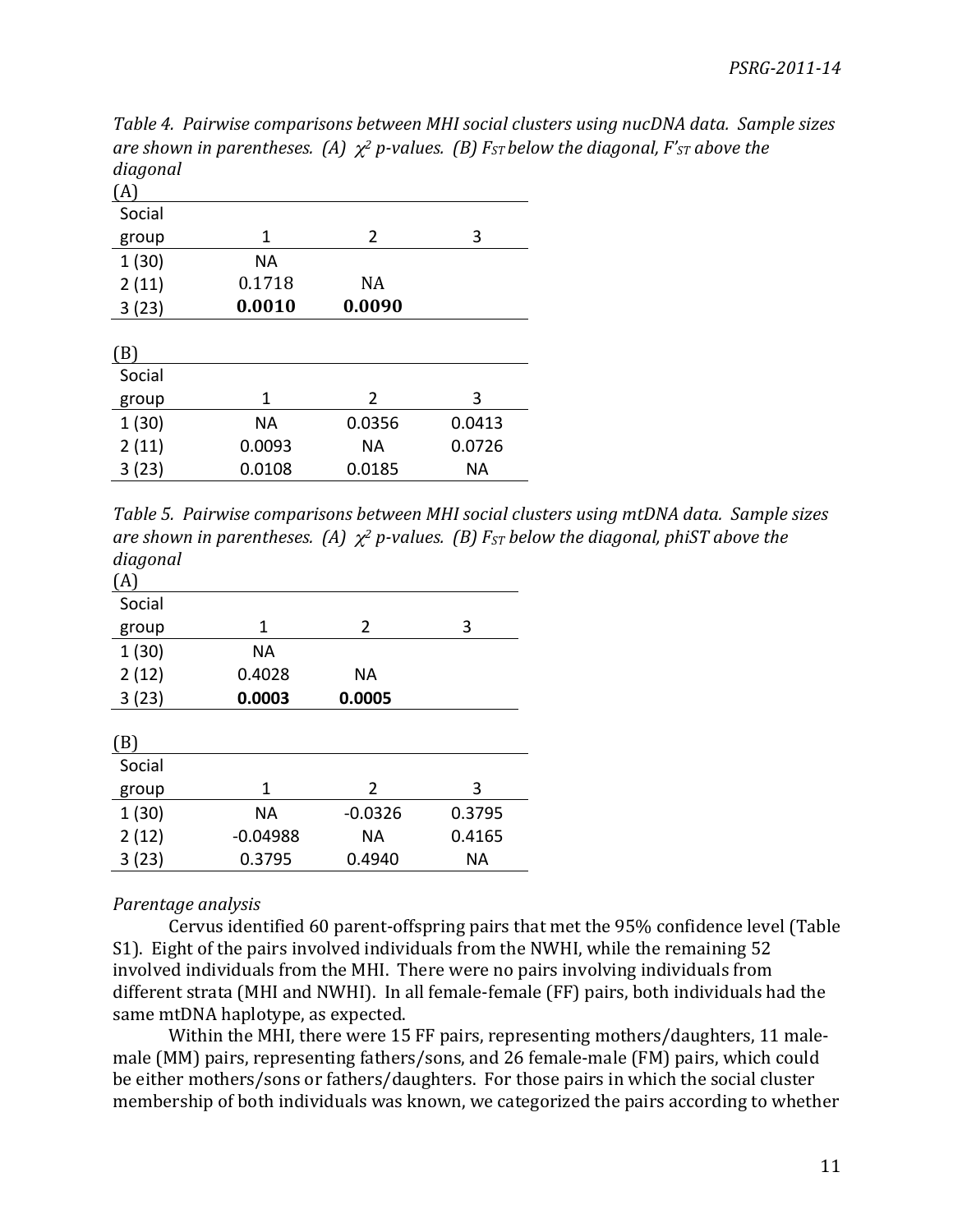*Table\*4.\*\*Pairwise\*comparisons\*between\*MHI\*social\*clusters\*using nucDNA\*data.\*\*Sample\*sizes\* are shown in parentheses.* (A)  $\chi^2$  *p*-values. (B)  $F_{ST}$  *below the diagonal,*  $F'_{ST}$  *above the diagonal*

| (A)    |        |           |        |
|--------|--------|-----------|--------|
| Social |        |           |        |
| group  | 1      | 2         | 3      |
| 1(30)  | NА     |           |        |
| 2(11)  | 0.1718 | NA        |        |
| 3(23)  | 0.0010 | 0.0090    |        |
|        |        |           |        |
| (B)    |        |           |        |
| Social |        |           |        |
| group  | 1      | 2         | 3      |
| 1(30)  | NА     | 0.0356    | 0.0413 |
| 2(11)  | 0.0093 | <b>NA</b> | 0.0726 |
| 3(23)  | 0.0108 | 0.0185    | ΝA     |

*Table\*5.\*\*Pairwise\*comparisons\*between\*MHI\*social\*clusters\*using\*mtDNA\*data.\*\*Sample\*sizes\* are shown in parentheses.* (A)  $χ²$  *p*-values. (B)  $F_{ST}$  *below the diagonal, phiST above the diagonal*

| (A)    |            |           |        |
|--------|------------|-----------|--------|
| Social |            |           |        |
| group  | 1          | 2         | 3      |
| 1(30)  | ΝA         |           |        |
| 2(12)  | 0.4028     | NА        |        |
| 3(23)  | 0.0003     | 0.0005    |        |
|        |            |           |        |
| (B)    |            |           |        |
| Social |            |           |        |
| group  | 1          | 2         | 3      |
| 1(30)  | <b>NA</b>  | $-0.0326$ | 0.3795 |
| 2(12)  | $-0.04988$ | NА        | 0.4165 |
| 3 (23) | 0.3795     | 0.4940    | ΝA     |
|        |            |           |        |

## *Parentage\*analysis*

Cervus identified 60 parent-offspring pairs that met the 95% confidence level (Table S1). Eight of the pairs involved individuals from the NWHI, while the remaining 52 involved individuals from the MHI. There were no pairs involving individuals from different strata (MHI and NWHI). In all female-female (FF) pairs, both individuals had the same mtDNA haplotype, as expected.

Within the MHI, there were 15 FF pairs, representing mothers/daughters, 11 malemale (MM) pairs, representing fathers/sons, and 26 female-male (FM) pairs, which could be either mothers/sons or fathers/daughters. For those pairs in which the social cluster membership of both individuals was known, we categorized the pairs according to whether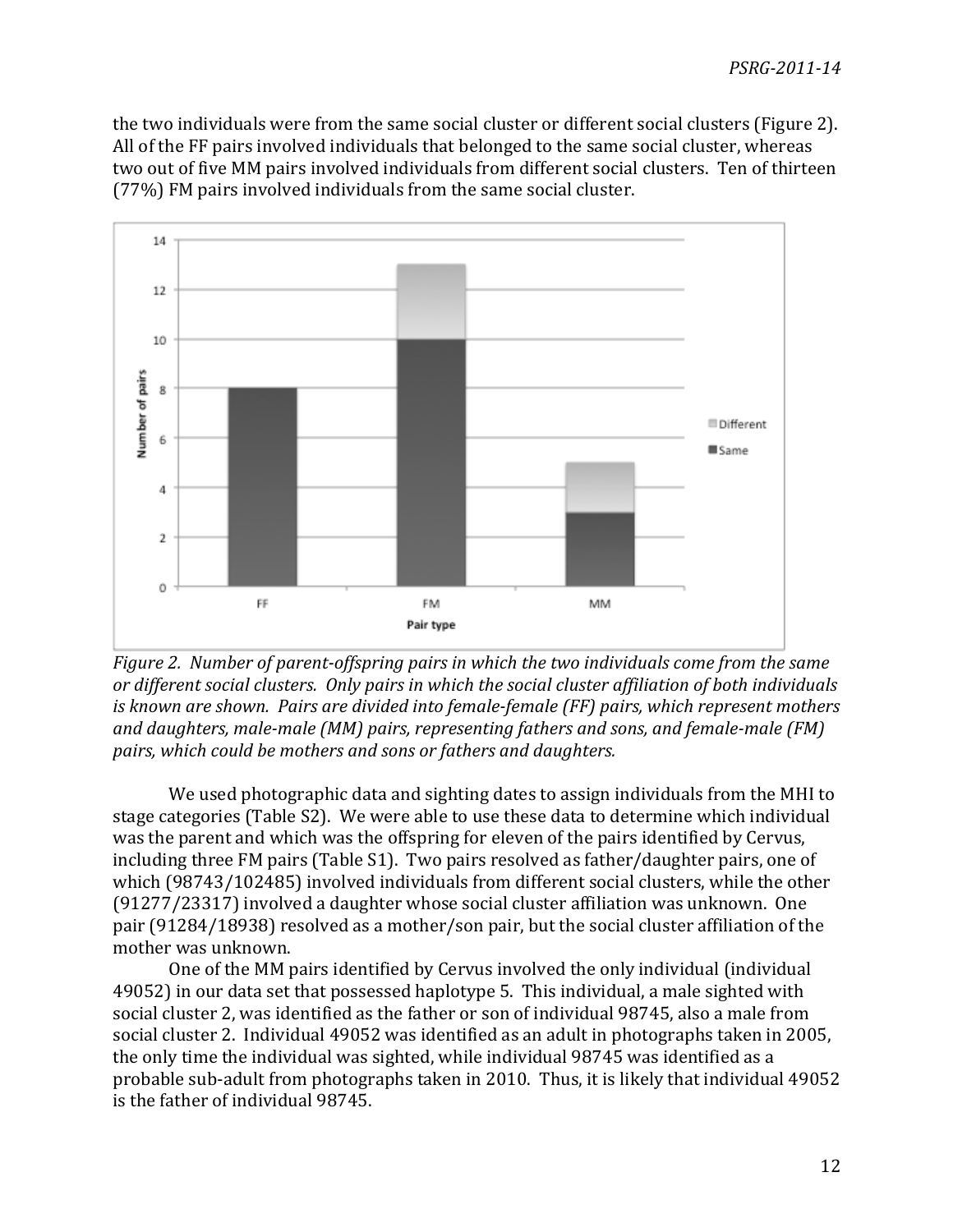the two individuals were from the same social cluster or different social clusters (Figure 2). All of the FF pairs involved individuals that belonged to the same social cluster, whereas two out of five MM pairs involved individuals from different social clusters. Ten of thirteen  $(77%)$  FM pairs involved individuals from the same social cluster.



*Figure 2.* Number of parent-offspring pairs in which the two individuals come from the same *or\*different\*social\*clusters.\*\*Only\*pairs\*in\*which\*the\*social\*cluster\*affiliation\*of\*both\*individuals\** is known are shown. Pairs are divided into female-female (FF) pairs, which represent mothers and daughters, male-male (MM) pairs, representing fathers and sons, and female-male (FM) *pairs,\*which\*could\*be\*mothers\*and\*sons\*or\*fathers\*and\*daughters.*

We used photographic data and sighting dates to assign individuals from the MHI to stage categories (Table S2). We were able to use these data to determine which individual was the parent and which was the offspring for eleven of the pairs identified by Cervus, including three FM pairs (Table S1). Two pairs resolved as father/daughter pairs, one of which (98743/102485) involved individuals from different social clusters, while the other  $(91277/23317)$  involved a daughter whose social cluster affiliation was unknown. One pair (91284/18938) resolved as a mother/son pair, but the social cluster affiliation of the mother was unknown.

One of the MM pairs identified by Cervus involved the only individual (individual 49052) in our data set that possessed haplotype 5. This individual, a male sighted with social cluster 2, was identified as the father or son of individual 98745, also a male from social cluster 2. Individual 49052 was identified as an adult in photographs taken in 2005, the only time the individual was sighted, while individual 98745 was identified as a probable sub-adult from photographs taken in 2010. Thus, it is likely that individual 49052 is the father of individual 98745.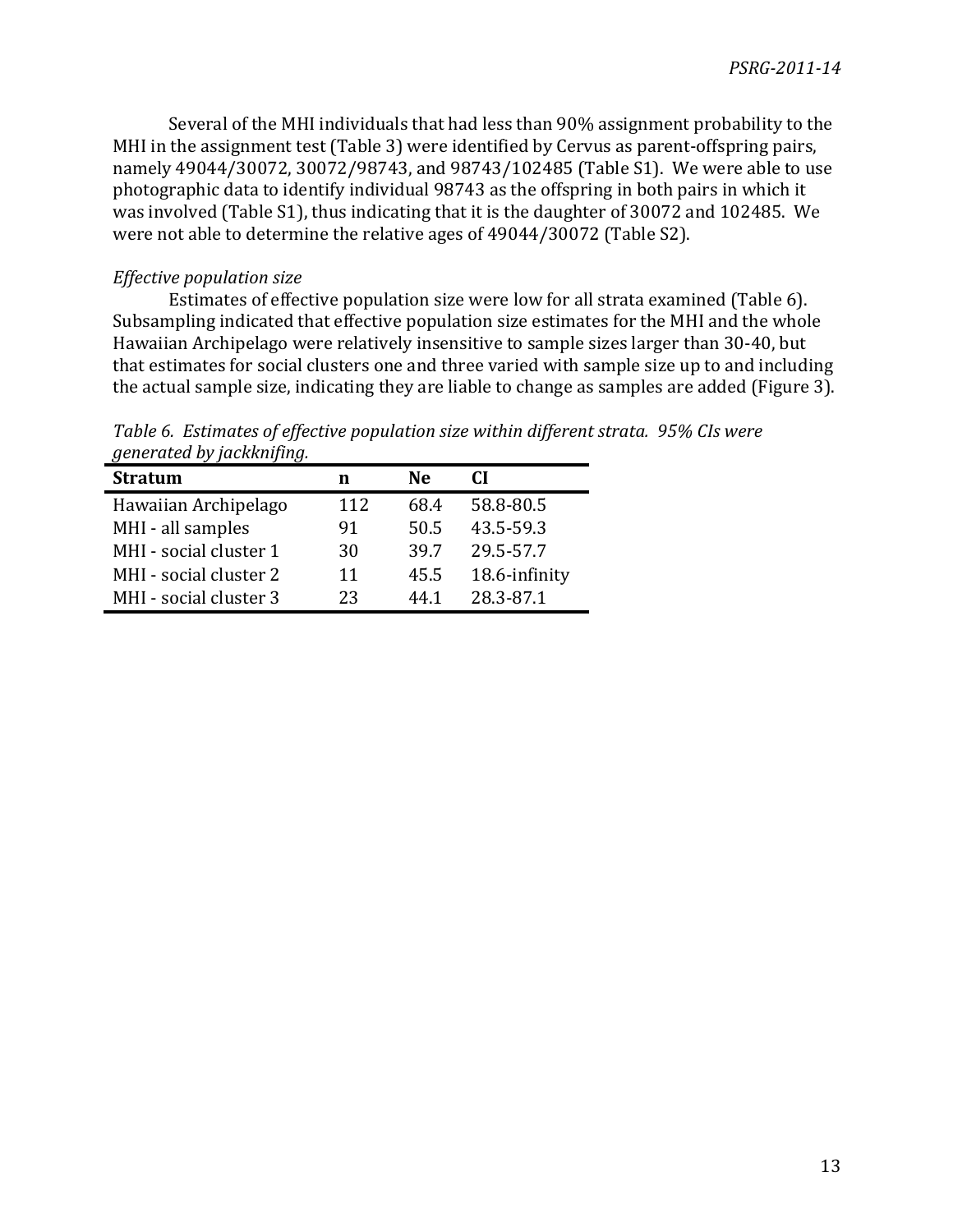Several of the MHI individuals that had less than 90% assignment probability to the MHI in the assignment test (Table 3) were identified by Cervus as parent-offspring pairs, namely 49044/30072, 30072/98743, and 98743/102485 (Table S1). We were able to use photographic data to identify individual 98743 as the offspring in both pairs in which it was involved (Table S1), thus indicating that it is the daughter of 30072 and 102485. We were not able to determine the relative ages of 49044/30072 (Table S2).

## *Effective population size*

Estimates of effective population size were low for all strata examined (Table 6). Subsampling indicated that effective population size estimates for the MHI and the whole Hawaiian Archipelago were relatively insensitive to sample sizes larger than 30-40, but that estimates for social clusters one and three varied with sample size up to and including the actual sample size, indicating they are liable to change as samples are added (Figure 3).

| денегисей рудисккинници |     |      |               |
|-------------------------|-----|------|---------------|
| <b>Stratum</b>          | n   | Ne.  | CI            |
| Hawaiian Archipelago    | 112 | 68.4 | 58.8-80.5     |
| MHI - all samples       | 91  | 50.5 | 43.5-59.3     |
| MHI - social cluster 1  | 30  | 39.7 | 29.5-57.7     |
| MHI - social cluster 2  | 11  | 45.5 | 18.6-infinity |

MHI - social cluster 3 23 44.1 28.3-87.1

Table 6. Estimates of effective population size within different strata. 95% CIs were *generated\*by\*jackknifing.*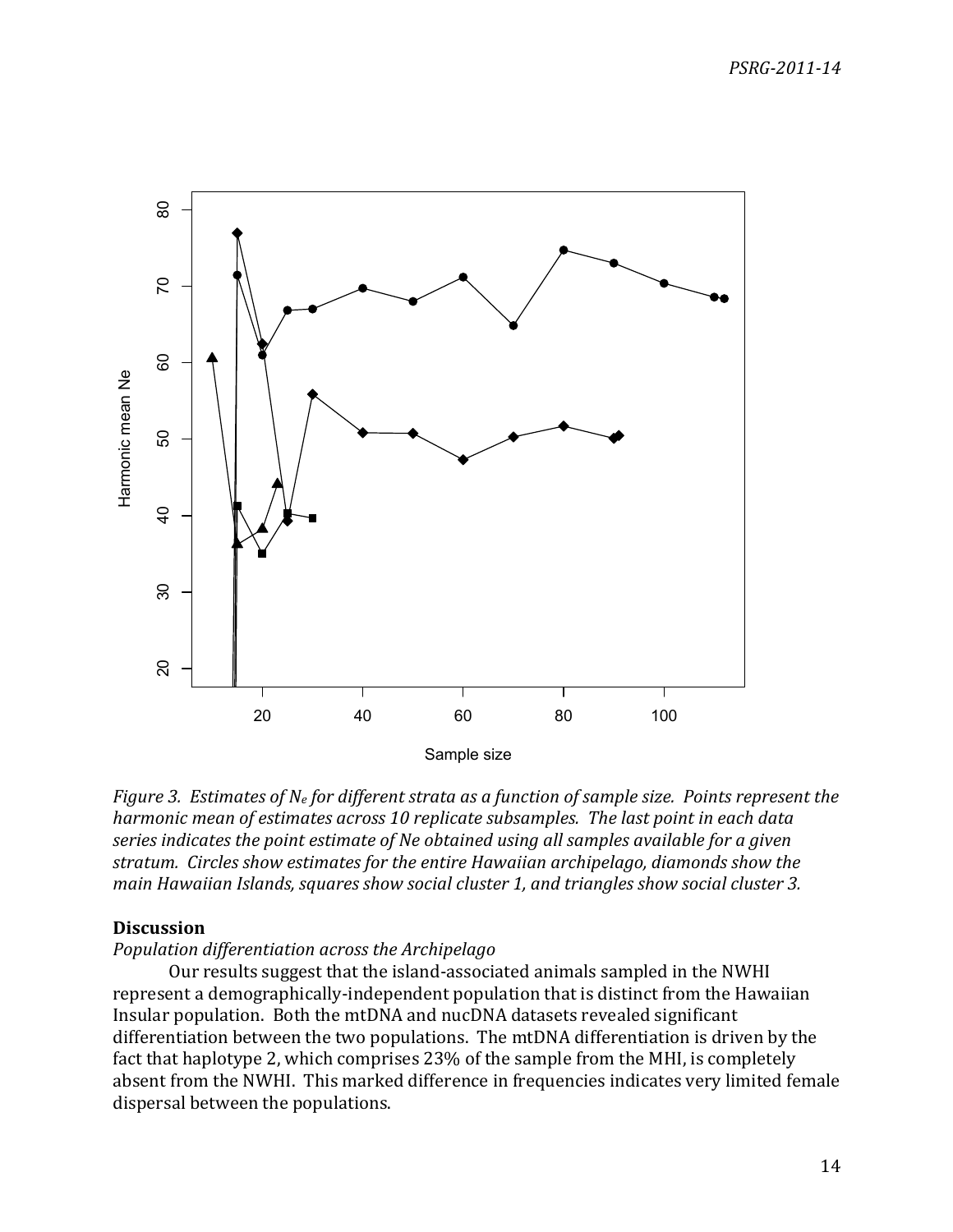

*Figure 3. Estimates of N<sub>e</sub> for different strata as a function of sample size. Points represent the harmonic mean of estimates across 10 replicate subsamples. The last point in each data* series indicates the point estimate of Ne obtained using all samples available for a given *stratum.\*\*Circles\*show\*estimates\*for\*the\*entire\*Hawaiian\*archipelago,\*diamonds\*show\*the\* main Hawaiian Islands, squares show social cluster 1, and triangles show social cluster 3.* 

### **Discussion**

## *Population\*differentiation\*across\*the\*Archipelago*

Our results suggest that the island-associated animals sampled in the NWHI represent a demographically-independent population that is distinct from the Hawaiian Insular population. Both the mtDNA and nucDNA datasets revealed significant differentiation between the two populations. The mtDNA differentiation is driven by the fact that haplotype 2, which comprises 23% of the sample from the MHI, is completely absent from the NWHI. This marked difference in frequencies indicates very limited female dispersal between the populations.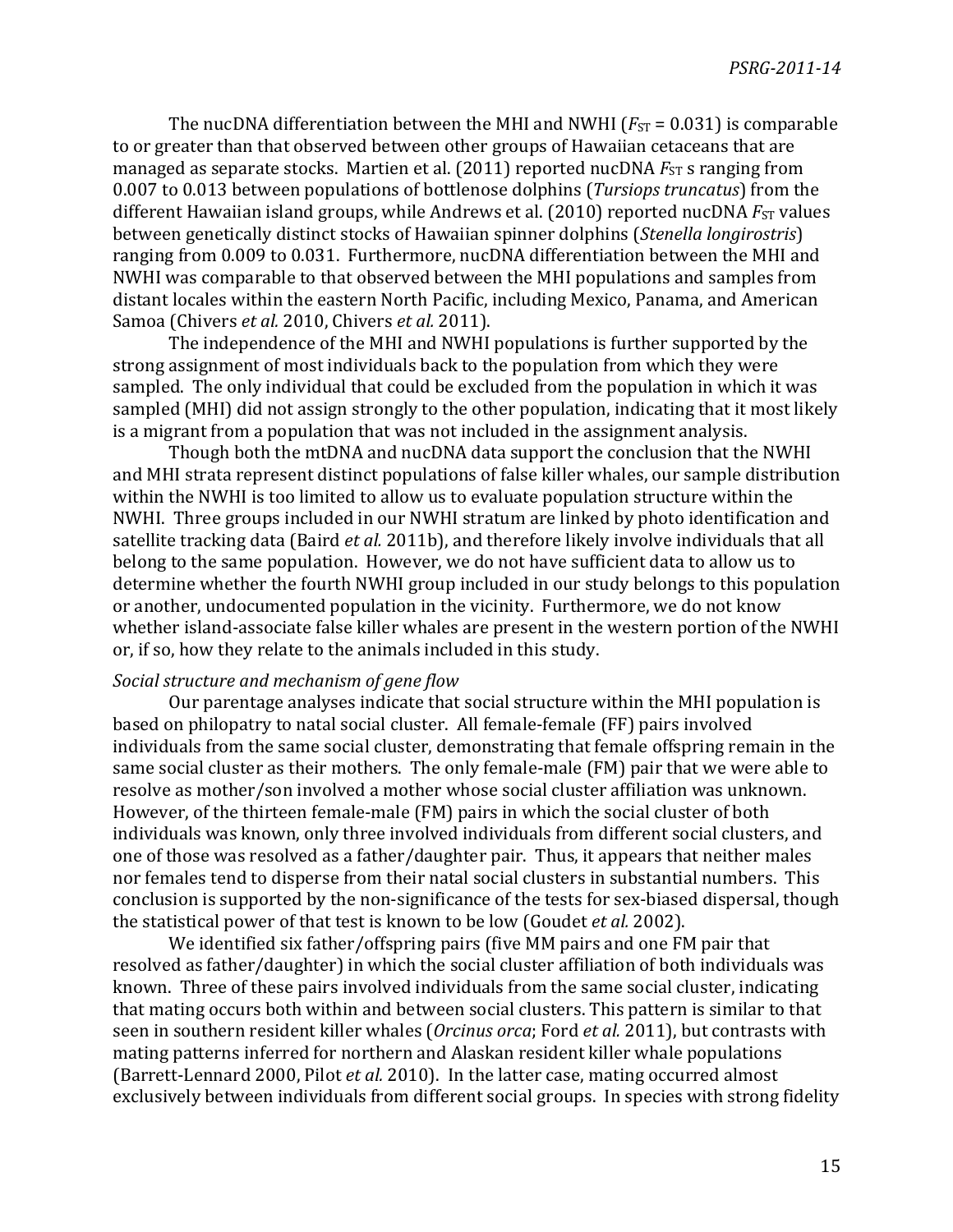The nucDNA differentiation between the MHI and NWHI ( $F_{ST} = 0.031$ ) is comparable to or greater than that observed between other groups of Hawaiian cetaceans that are managed as separate stocks. Martien et al. (2011) reported nucDNA  $FSTST$  s ranging from 0.007 to 0.013 between populations of bottlenose dolphins (*Tursiops truncatus*) from the different Hawaiian island groups, while Andrews et al. (2010) reported nucDNA *F*<sub>ST</sub> values between genetically distinct stocks of Hawaiian spinner dolphins (*Stenella longirostris*) ranging from 0.009 to 0.031. Furthermore, nucDNA differentiation between the MHI and NWHI was comparable to that observed between the MHI populations and samples from distant locales within the eastern North Pacific, including Mexico, Panama, and American Samoa (Chivers *et al.* 2010, Chivers *et al.* 2011).

The independence of the MHI and NWHI populations is further supported by the strong assignment of most individuals back to the population from which they were sampled. The only individual that could be excluded from the population in which it was sampled (MHI) did not assign strongly to the other population, indicating that it most likely is a migrant from a population that was not included in the assignment analysis.

Though both the mtDNA and nucDNA data support the conclusion that the NWHI and MHI strata represent distinct populations of false killer whales, our sample distribution within the NWHI is too limited to allow us to evaluate population structure within the NWHI. Three groups included in our NWHI stratum are linked by photo identification and satellite tracking data (Baird *et al.* 2011b), and therefore likely involve individuals that all belong to the same population. However, we do not have sufficient data to allow us to determine whether the fourth NWHI group included in our study belongs to this population or another, undocumented population in the vicinity. Furthermore, we do not know whether island-associate false killer whales are present in the western portion of the NWHI or, if so, how they relate to the animals included in this study.

## *Social\*structure\*and\*mechanism\*of\*gene\*flow*

Our parentage analyses indicate that social structure within the MHI population is based on philopatry to natal social cluster. All female-female (FF) pairs involved individuals from the same social cluster, demonstrating that female offspring remain in the same social cluster as their mothers. The only female-male (FM) pair that we were able to resolve as mother/son involved a mother whose social cluster affiliation was unknown. However, of the thirteen female-male (FM) pairs in which the social cluster of both individuals was known, only three involved individuals from different social clusters, and one of those was resolved as a father/daughter pair. Thus, it appears that neither males nor females tend to disperse from their natal social clusters in substantial numbers. This conclusion is supported by the non-significance of the tests for sex-biased dispersal, though the statistical power of that test is known to be low (Goudet *et al.* 2002).

We identified six father/offspring pairs (five MM pairs and one FM pair that resolved as father/daughter) in which the social cluster affiliation of both individuals was known. Three of these pairs involved individuals from the same social cluster, indicating that mating occurs both within and between social clusters. This pattern is similar to that seen in southern resident killer whales (*Orcinus orca*; Ford *et al.* 2011), but contrasts with mating patterns inferred for northern and Alaskan resident killer whale populations (Barrett-Lennard 2000, Pilot *et al.* 2010). In the latter case, mating occurred almost exclusively between individuals from different social groups. In species with strong fidelity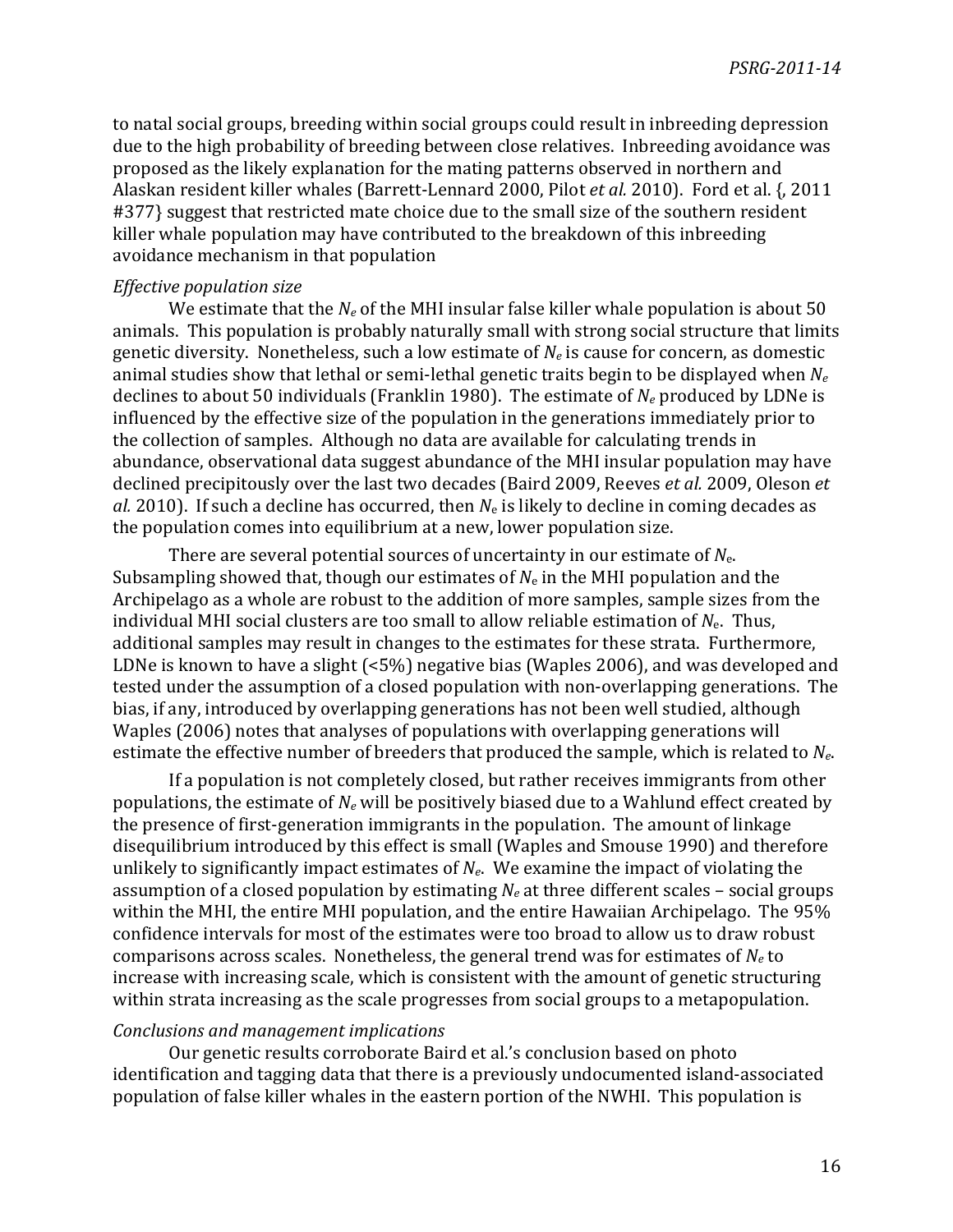to natal social groups, breeding within social groups could result in inbreeding depression due to the high probability of breeding between close relatives. Inbreeding avoidance was proposed as the likely explanation for the mating patterns observed in northern and Alaskan resident killer whales (Barrett-Lennard 2000, Pilot *et al.* 2010). Ford et al. {, 2011 #377} suggest that restricted mate choice due to the small size of the southern resident killer whale population may have contributed to the breakdown of this inbreeding avoidance mechanism in that population

### *Effective\*population\*size*

We estimate that the  $N_e$  of the MHI insular false killer whale population is about 50 animals. This population is probably naturally small with strong social structure that limits genetic diversity. Nonetheless, such a low estimate of  $N_e$  is cause for concern, as domestic animal studies show that lethal or semi-lethal genetic traits begin to be displayed when  $N_e$ declines to about 50 individuals (Franklin 1980). The estimate of  $N_e$  produced by LDNe is influenced by the effective size of the population in the generations immediately prior to the collection of samples. Although no data are available for calculating trends in abundance, observational data suggest abundance of the MHI insular population may have declined precipitously over the last two decades (Baird 2009, Reeves *et al.* 2009, Oleson *et al.* 2010). If such a decline has occurred, then  $N_e$  is likely to decline in coming decades as the population comes into equilibrium at a new, lower population size.

There are several potential sources of uncertainty in our estimate of  $N_{e}$ . Subsampling showed that, though our estimates of  $N<sub>e</sub>$  in the MHI population and the Archipelago as a whole are robust to the addition of more samples, sample sizes from the individual MHI social clusters are too small to allow reliable estimation of  $N_{e}$ . Thus, additional samples may result in changes to the estimates for these strata. Furthermore, LDNe is known to have a slight  $(5\%)$  negative bias (Waples 2006), and was developed and tested under the assumption of a closed population with non-overlapping generations. The bias, if any, introduced by overlapping generations has not been well studied, although Waples (2006) notes that analyses of populations with overlapping generations will estimate the effective number of breeders that produced the sample, which is related to  $N_e$ .

If a population is not completely closed, but rather receives immigrants from other populations, the estimate of  $N_e$  will be positively biased due to a Wahlund effect created by the presence of first-generation immigrants in the population. The amount of linkage disequilibrium introduced by this effect is small (Waples and Smouse 1990) and therefore unlikely to significantly impact estimates of  $N_e$ . We examine the impact of violating the assumption of a closed population by estimating  $N_e$  at three different scales – social groups within the MHI, the entire MHI population, and the entire Hawaiian Archipelago. The 95% confidence intervals for most of the estimates were too broad to allow us to draw robust comparisons across scales. Nonetheless, the general trend was for estimates of  $N_e$  to increase with increasing scale, which is consistent with the amount of genetic structuring within strata increasing as the scale progresses from social groups to a metapopulation.

## *Conclusions and\*management\*implications*

Our genetic results corroborate Baird et al.'s conclusion based on photo identification and tagging data that there is a previously undocumented island-associated population of false killer whales in the eastern portion of the NWHI. This population is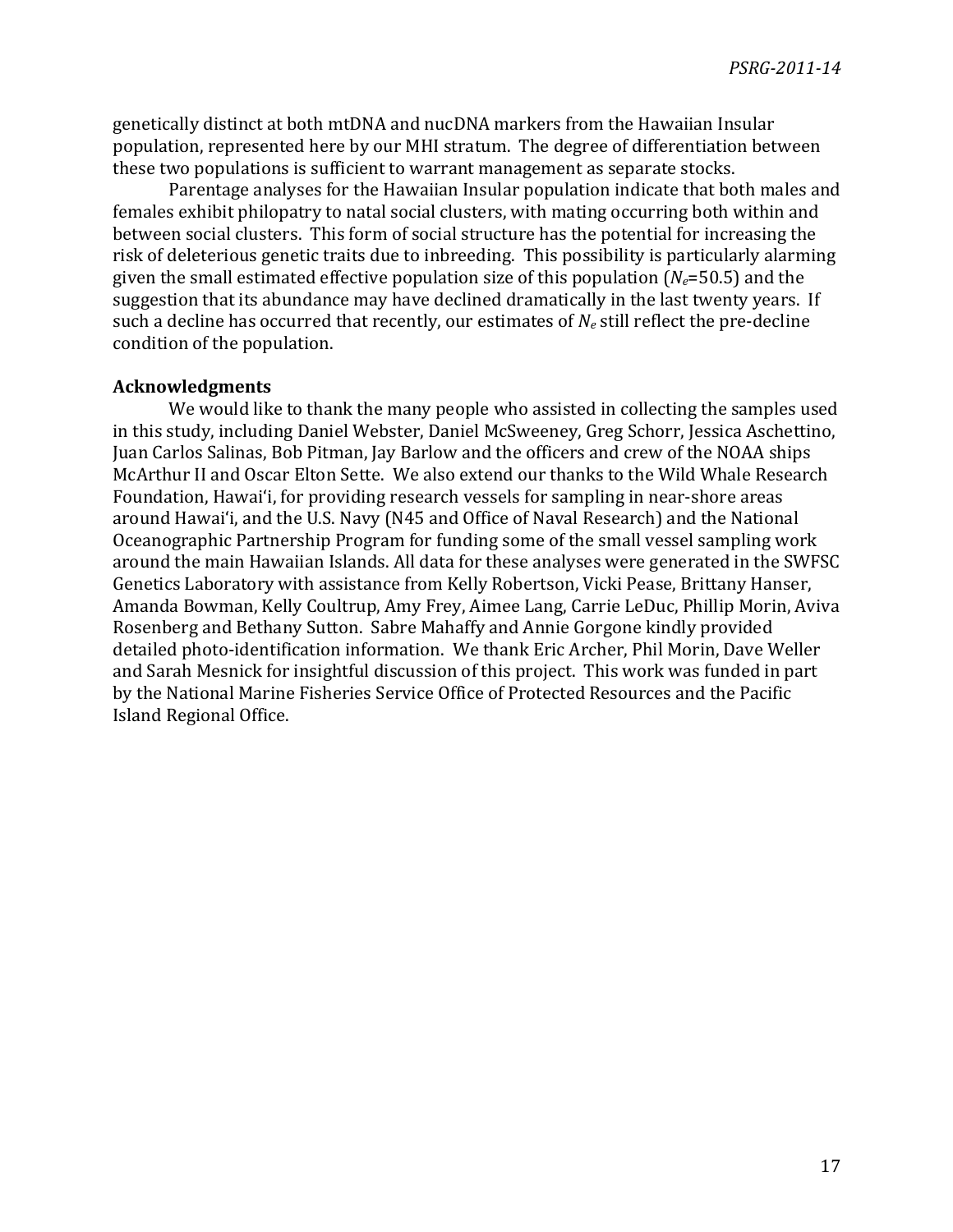genetically distinct at both mtDNA and nucDNA markers from the Hawaiian Insular population, represented here by our MHI stratum. The degree of differentiation between these two populations is sufficient to warrant management as separate stocks.

Parentage analyses for the Hawaiian Insular population indicate that both males and females exhibit philopatry to natal social clusters, with mating occurring both within and between social clusters. This form of social structure has the potential for increasing the risk of deleterious genetic traits due to inbreeding. This possibility is particularly alarming given the small estimated effective population size of this population  $(N_e=50.5)$  and the suggestion that its abundance may have declined dramatically in the last twenty years. If such a decline has occurred that recently, our estimates of  $N_e$  still reflect the pre-decline condition of the population.

## **Acknowledgments**

We would like to thank the many people who assisted in collecting the samples used in this study, including Daniel Webster, Daniel McSweeney, Greg Schorr, Jessica Aschettino, Juan Carlos Salinas, Bob Pitman, Jay Barlow and the officers and crew of the NOAA ships McArthur II and Oscar Elton Sette. We also extend our thanks to the Wild Whale Research Foundation, Hawai'i, for providing research vessels for sampling in near-shore areas around Hawai'i, and the U.S. Navy (N45 and Office of Naval Research) and the National Oceanographic Partnership Program for funding some of the small vessel sampling work around the main Hawaiian Islands. All data for these analyses were generated in the SWFSC Genetics Laboratory with assistance from Kelly Robertson, Vicki Pease, Brittany Hanser, Amanda Bowman, Kelly Coultrup, Amy Frey, Aimee Lang, Carrie LeDuc, Phillip Morin, Aviva Rosenberg and Bethany Sutton. Sabre Mahaffy and Annie Gorgone kindly provided detailed photo-identification information. We thank Eric Archer, Phil Morin, Dave Weller and Sarah Mesnick for insightful discussion of this project. This work was funded in part by the National Marine Fisheries Service Office of Protected Resources and the Pacific Island Regional Office.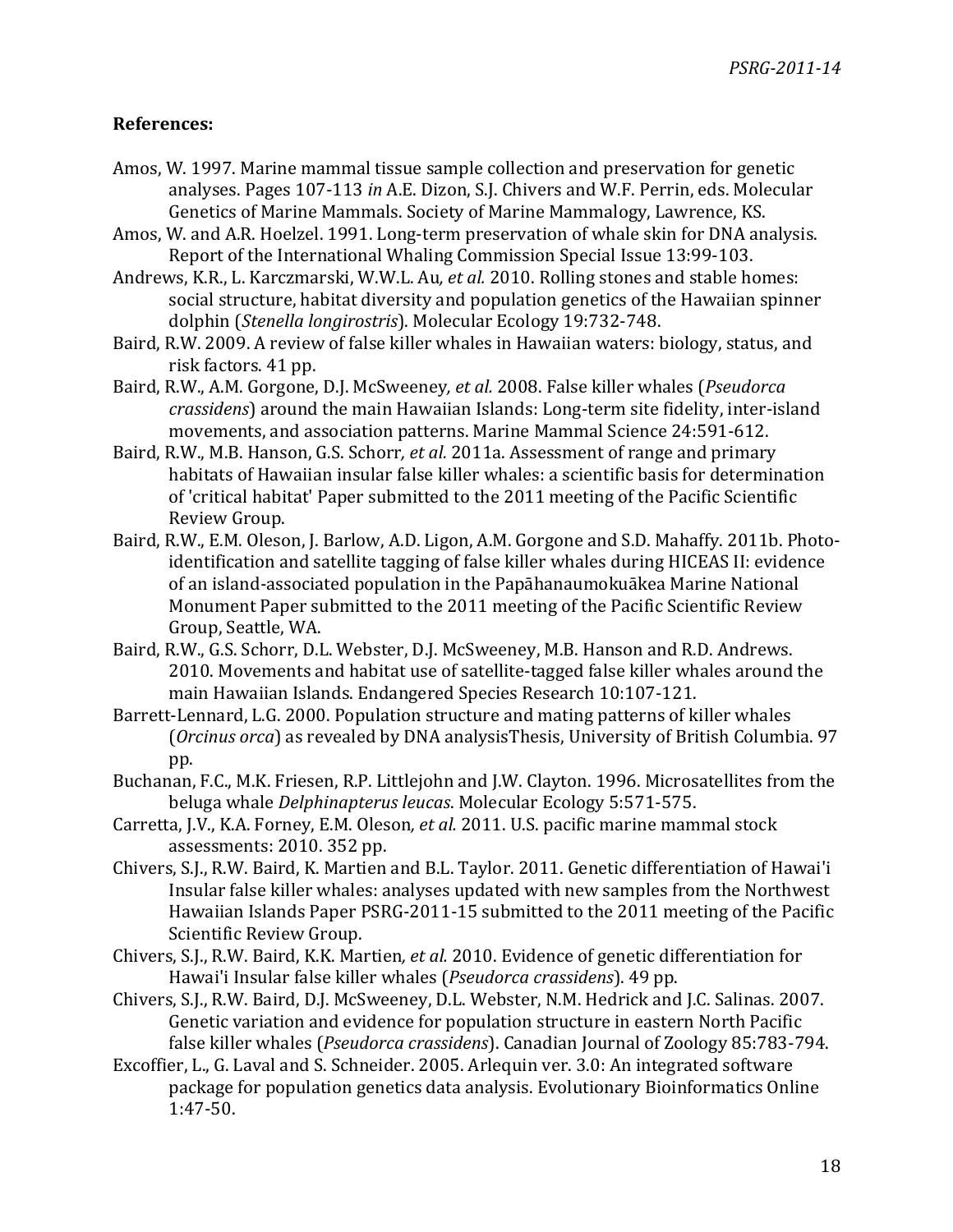## **References:**

- Amos, W. 1997. Marine mammal tissue sample collection and preservation for genetic analyses. Pages 107-113 in A.E. Dizon, S.J. Chivers and W.F. Perrin, eds. Molecular Genetics of Marine Mammals. Society of Marine Mammalogy, Lawrence, KS.
- Amos, W. and A.R. Hoelzel. 1991. Long-term preservation of whale skin for DNA analysis. Report of the International Whaling Commission Special Issue 13:99-103.
- Andrews, K.R., L. Karczmarski, W.W.L. Au, et al. 2010. Rolling stones and stable homes: social structure, habitat diversity and population genetics of the Hawaiian spinner dolphin (*Stenella longirostris*). Molecular Ecology 19:732-748.
- Baird, R.W. 2009. A review of false killer whales in Hawaiian waters: biology, status, and risk factors. 41 pp.
- Baird, R.W., A.M. Gorgone, D.J. McSweeney, et al. 2008. False killer whales (*Pseudorca*) *crassidens*) around the main Hawaiian Islands: Long-term site fidelity, inter-island movements, and association patterns. Marine Mammal Science 24:591-612.
- Baird, R.W., M.B. Hanson, G.S. Schorr, et al. 2011a. Assessment of range and primary habitats of Hawaiian insular false killer whales: a scientific basis for determination of 'critical habitat' Paper submitted to the 2011 meeting of the Pacific Scientific Review Group.
- Baird, R.W., E.M. Oleson, J. Barlow, A.D. Ligon, A.M. Gorgone and S.D. Mahaffy. 2011b. Photoidentification and satellite tagging of false killer whales during HICEAS II: evidence of an island-associated population in the Papāhanaumokuākea Marine National Monument Paper submitted to the 2011 meeting of the Pacific Scientific Review Group, Seattle, WA.
- Baird, R.W., G.S. Schorr, D.L. Webster, D.J. McSweeney, M.B. Hanson and R.D. Andrews. 2010. Movements and habitat use of satellite-tagged false killer whales around the main Hawaiian Islands. Endangered Species Research 10:107-121.
- Barrett-Lennard, L.G. 2000. Population structure and mating patterns of killer whales (*Orcinus orca*) as revealed by DNA analysisThesis, University of British Columbia. 97 pp.
- Buchanan, F.C., M.K. Friesen, R.P. Littlejohn and J.W. Clayton. 1996. Microsatellites from the beluga whale *Delphinapterus leucas*. Molecular Ecology 5:571-575.
- Carretta, J.V., K.A. Forney, E.M. Oleson, et al. 2011. U.S. pacific marine mammal stock assessments: 2010. 352 pp.
- Chivers, S.J., R.W. Baird, K. Martien and B.L. Taylor. 2011. Genetic differentiation of Hawai'i Insular false killer whales: analyses updated with new samples from the Northwest Hawaiian Islands Paper PSRG-2011-15 submitted to the 2011 meeting of the Pacific Scientific Review Group.
- Chivers, S.J., R.W. Baird, K.K. Martien, et al. 2010. Evidence of genetic differentiation for Hawai'i Insular false killer whales (*Pseudorca crassidens*). 49 pp.
- Chivers, S.J., R.W. Baird, D.J. McSweeney, D.L. Webster, N.M. Hedrick and J.C. Salinas. 2007. Genetic variation and evidence for population structure in eastern North Pacific false killer whales (*Pseudorca crassidens*). Canadian Journal of Zoology 85:783-794.
- Excoffier, L., G. Laval and S. Schneider. 2005. Arlequin ver. 3.0: An integrated software package for population genetics data analysis. Evolutionary Bioinformatics Online 1:47-50.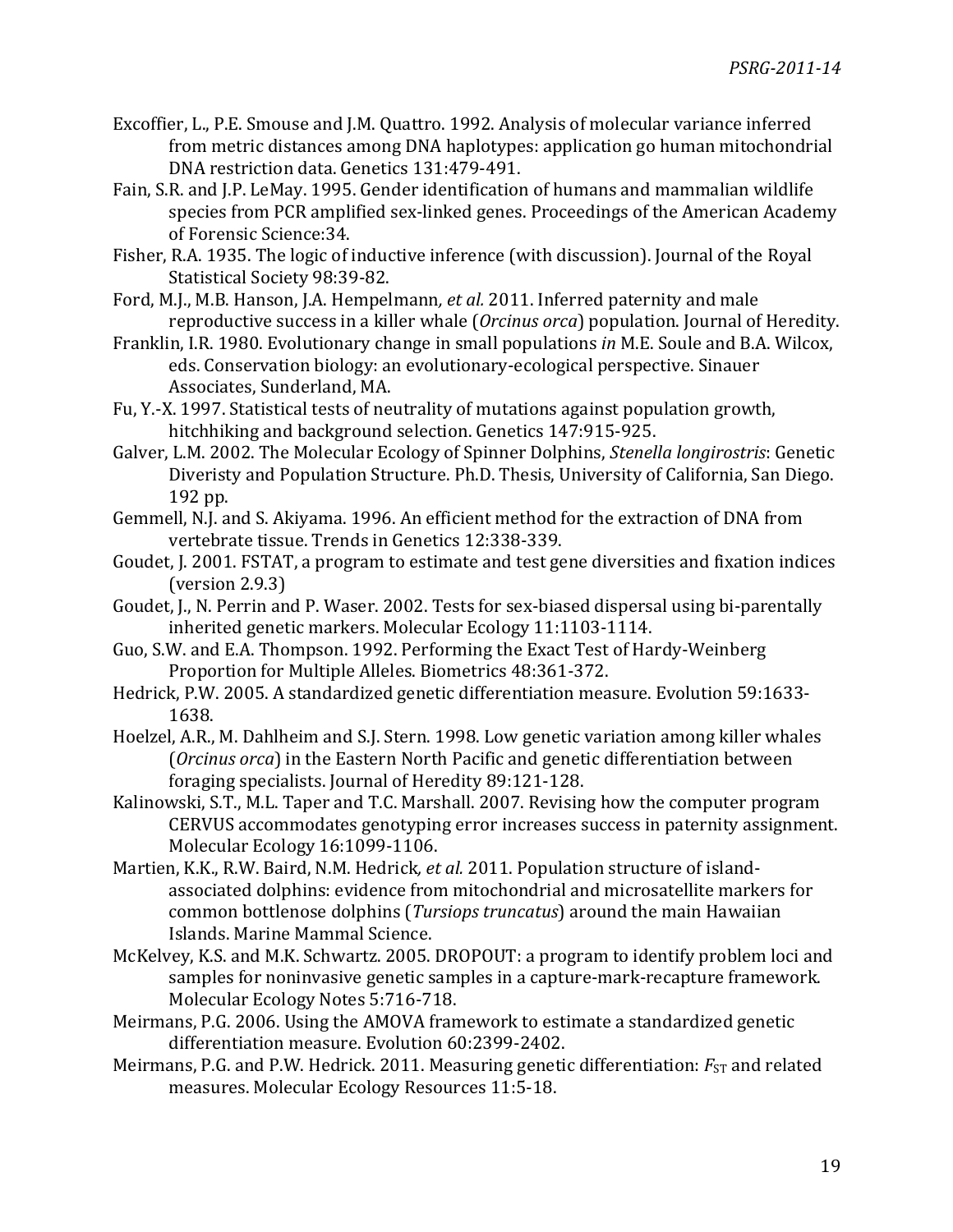- Excoffier, L., P.E. Smouse and J.M. Quattro. 1992. Analysis of molecular variance inferred from metric distances among DNA haplotypes: application go human mitochondrial DNA restriction data. Genetics 131:479-491.
- Fain, S.R. and J.P. LeMay. 1995. Gender identification of humans and mammalian wildlife species from PCR amplified sex-linked genes. Proceedings of the American Academy of Forensic Science: 34.
- Fisher, R.A. 1935. The logic of inductive inference (with discussion). Journal of the Royal Statistical Society 98:39-82.
- Ford, M.J., M.B. Hanson, J.A. Hempelmann, et al. 2011. Inferred paternity and male reproductive success in a killer whale (*Orcinus orca*) population. Journal of Heredity.
- Franklin, I.R. 1980. Evolutionary change in small populations *in* M.E. Soule and B.A. Wilcox, eds. Conservation biology: an evolutionary-ecological perspective. Sinauer Associates, Sunderland, MA.
- Fu, Y.-X. 1997. Statistical tests of neutrality of mutations against population growth, hitchhiking and background selection. Genetics 147:915-925.
- Galver, L.M. 2002. The Molecular Ecology of Spinner Dolphins, *Stenella longirostris*: Genetic Diveristy and Population Structure. Ph.D. Thesis, University of California, San Diego. 192 pp.
- Gemmell, N.J. and S. Akiyama. 1996. An efficient method for the extraction of DNA from vertebrate tissue. Trends in Genetics 12:338-339.
- Goudet, J. 2001. FSTAT, a program to estimate and test gene diversities and fixation indices  $(version 2.9.3)$
- Goudet, J., N. Perrin and P. Waser. 2002. Tests for sex-biased dispersal using bi-parentally inherited genetic markers. Molecular Ecology 11:1103-1114.
- Guo, S.W. and E.A. Thompson. 1992. Performing the Exact Test of Hardy-Weinberg Proportion for Multiple Alleles. Biometrics 48:361-372.
- Hedrick, P.W. 2005. A standardized genetic differentiation measure. Evolution 59:1633-1638.
- Hoelzel, A.R., M. Dahlheim and S.J. Stern. 1998. Low genetic variation among killer whales (*Orcinus orca*) in the Eastern North Pacific and genetic differentiation between foraging specialists. Journal of Heredity 89:121-128.
- Kalinowski, S.T., M.L. Taper and T.C. Marshall. 2007. Revising how the computer program CERVUS accommodates genotyping error increases success in paternity assignment. Molecular Ecology 16:1099-1106.
- Martien, K.K., R.W. Baird, N.M. Hedrick, et al. 2011. Population structure of islandassociated dolphins: evidence from mitochondrial and microsatellite markers for common bottlenose dolphins (*Tursiops truncatus*) around the main Hawaiian Islands. Marine Mammal Science.
- McKelvey, K.S. and M.K. Schwartz. 2005. DROPOUT: a program to identify problem loci and samples for noninvasive genetic samples in a capture-mark-recapture framework. Molecular Ecology Notes 5:716-718.
- Meirmans, P.G. 2006. Using the AMOVA framework to estimate a standardized genetic differentiation measure. Evolution 60:2399-2402.
- Meirmans, P.G. and P.W. Hedrick. 2011. Measuring genetic differentiation: *F*<sub>ST</sub> and related measures. Molecular Ecology Resources 11:5-18.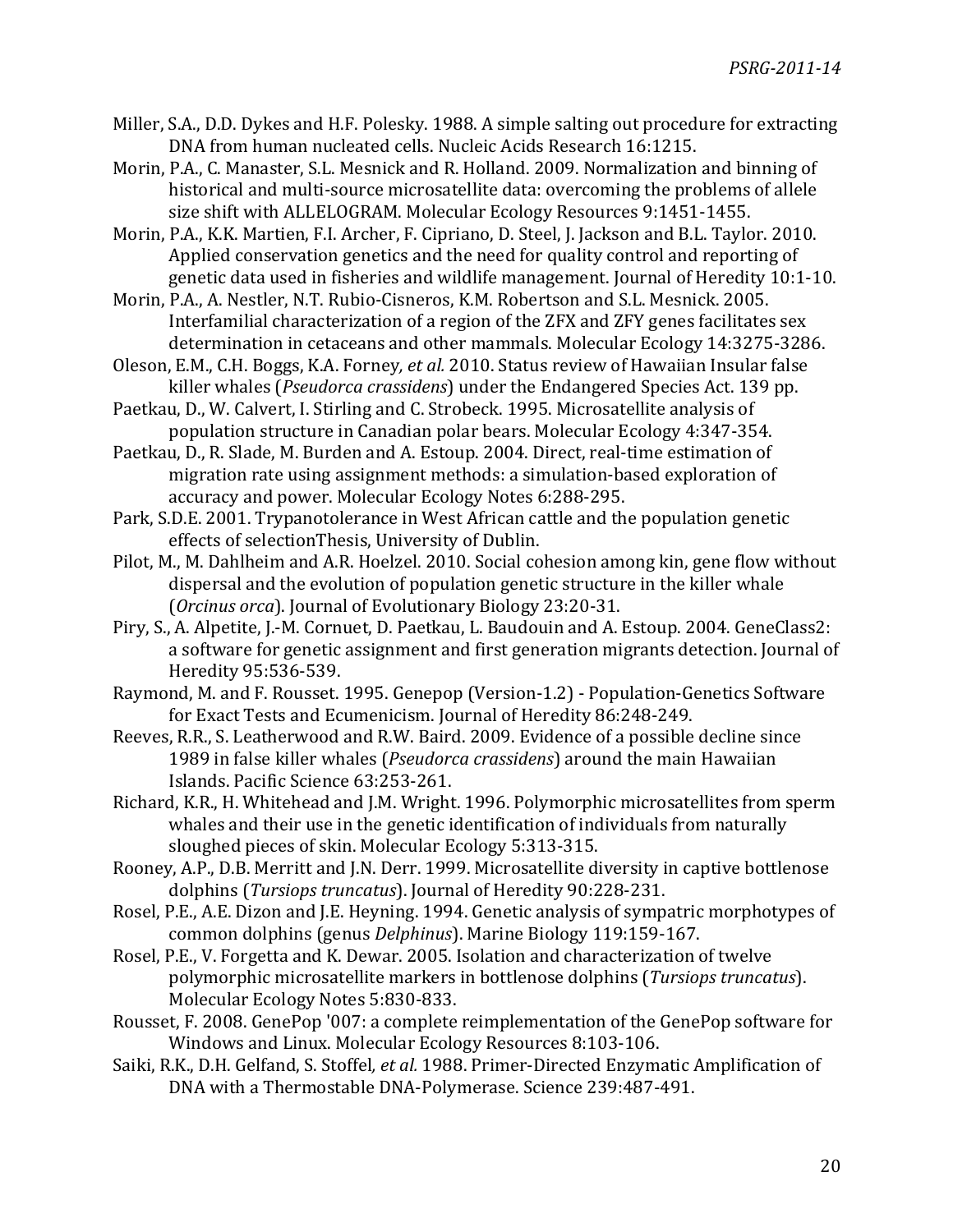- Miller, S.A., D.D. Dykes and H.F. Polesky. 1988. A simple salting out procedure for extracting DNA from human nucleated cells. Nucleic Acids Research 16:1215.
- Morin, P.A., C. Manaster, S.L. Mesnick and R. Holland. 2009. Normalization and binning of historical and multi-source microsatellite data: overcoming the problems of allele size shift with ALLELOGRAM. Molecular Ecology Resources 9:1451-1455.

Morin, P.A., K.K. Martien, F.I. Archer, F. Cipriano, D. Steel, J. Jackson and B.L. Taylor. 2010. Applied conservation genetics and the need for quality control and reporting of genetic data used in fisheries and wildlife management. Journal of Heredity 10:1-10.

Morin, P.A., A. Nestler, N.T. Rubio-Cisneros, K.M. Robertson and S.L. Mesnick. 2005. Interfamilial characterization of a region of the ZFX and ZFY genes facilitates sex determination in cetaceans and other mammals. Molecular Ecology 14:3275-3286.

Oleson, E.M., C.H. Boggs, K.A. Forney, et al. 2010. Status review of Hawaiian Insular false killer whales (*Pseudorca crassidens*) under the Endangered Species Act. 139 pp.

Paetkau, D., W. Calvert, I. Stirling and C. Strobeck. 1995. Microsatellite analysis of population structure in Canadian polar bears. Molecular Ecology 4:347-354.

Paetkau, D., R. Slade, M. Burden and A. Estoup. 2004. Direct, real-time estimation of migration rate using assignment methods: a simulation-based exploration of accuracy and power. Molecular Ecology Notes 6:288-295.

Park, S.D.E. 2001. Trypanotolerance in West African cattle and the population genetic effects of selectionThesis, University of Dublin.

Pilot, M., M. Dahlheim and A.R. Hoelzel. 2010. Social cohesion among kin, gene flow without dispersal and the evolution of population genetic structure in the killer whale (*Orcinus orca*). Journal of Evolutionary Biology 23:20-31.

Piry, S., A. Alpetite, J.-M. Cornuet, D. Paetkau, L. Baudouin and A. Estoup. 2004. GeneClass2: a software for genetic assignment and first generation migrants detection. Journal of Heredity 95:536-539.

Raymond, M. and F. Rousset. 1995. Genepop (Version-1.2) - Population-Genetics Software for Exact Tests and Ecumenicism. Journal of Heredity 86:248-249.

Reeves, R.R., S. Leatherwood and R.W. Baird. 2009. Evidence of a possible decline since 1989 in false killer whales (*Pseudorca crassidens*) around the main Hawaiian Islands. Pacific Science 63:253-261.

Richard, K.R., H. Whitehead and J.M. Wright. 1996. Polymorphic microsatellites from sperm whales and their use in the genetic identification of individuals from naturally sloughed pieces of skin. Molecular Ecology 5:313-315.

Rooney, A.P., D.B. Merritt and J.N. Derr. 1999. Microsatellite diversity in captive bottlenose dolphins (*Tursiops truncatus*). Journal of Heredity 90:228-231.

Rosel, P.E., A.E. Dizon and J.E. Heyning. 1994. Genetic analysis of sympatric morphotypes of common dolphins (genus *Delphinus*). Marine Biology 119:159-167.

Rosel, P.E., V. Forgetta and K. Dewar. 2005. Isolation and characterization of twelve polymorphic microsatellite markers in bottlenose dolphins (*Tursiops truncatus*). Molecular Ecology Notes 5:830-833.

Rousset, F. 2008. GenePop '007: a complete reimplementation of the GenePop software for Windows and Linux. Molecular Ecology Resources 8:103-106.

Saiki, R.K., D.H. Gelfand, S. Stoffel, et al. 1988. Primer-Directed Enzymatic Amplification of DNA with a Thermostable DNA-Polymerase. Science 239:487-491.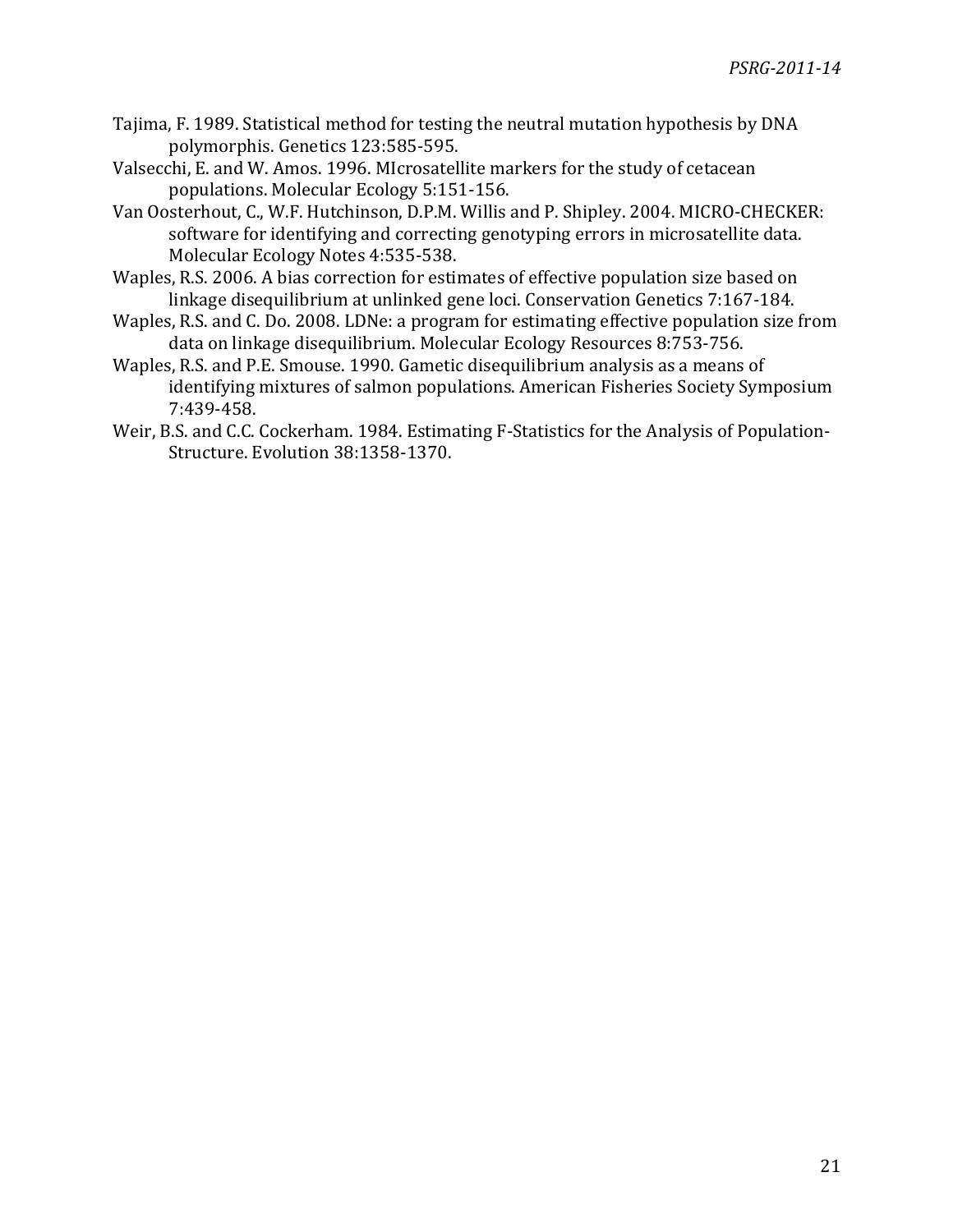- Tajima, F. 1989. Statistical method for testing the neutral mutation hypothesis by DNA polymorphis. Genetics 123:585-595.
- Valsecchi, E. and W. Amos. 1996. MIcrosatellite markers for the study of cetacean populations. Molecular Ecology 5:151-156.
- Van Oosterhout, C., W.F. Hutchinson, D.P.M. Willis and P. Shipley. 2004. MICRO-CHECKER: software for identifying and correcting genotyping errors in microsatellite data. Molecular Ecology Notes 4:535-538.
- Waples, R.S. 2006. A bias correction for estimates of effective population size based on linkage disequilibrium at unlinked gene loci. Conservation Genetics 7:167-184.
- Waples, R.S. and C. Do. 2008. LDNe: a program for estimating effective population size from data on linkage disequilibrium. Molecular Ecology Resources 8:753-756.
- Waples, R.S. and P.E. Smouse. 1990. Gametic disequilibrium analysis as a means of identifying mixtures of salmon populations. American Fisheries Society Symposium 7:439-458.
- Weir, B.S. and C.C. Cockerham. 1984. Estimating F-Statistics for the Analysis of Population-Structure. Evolution 38:1358-1370.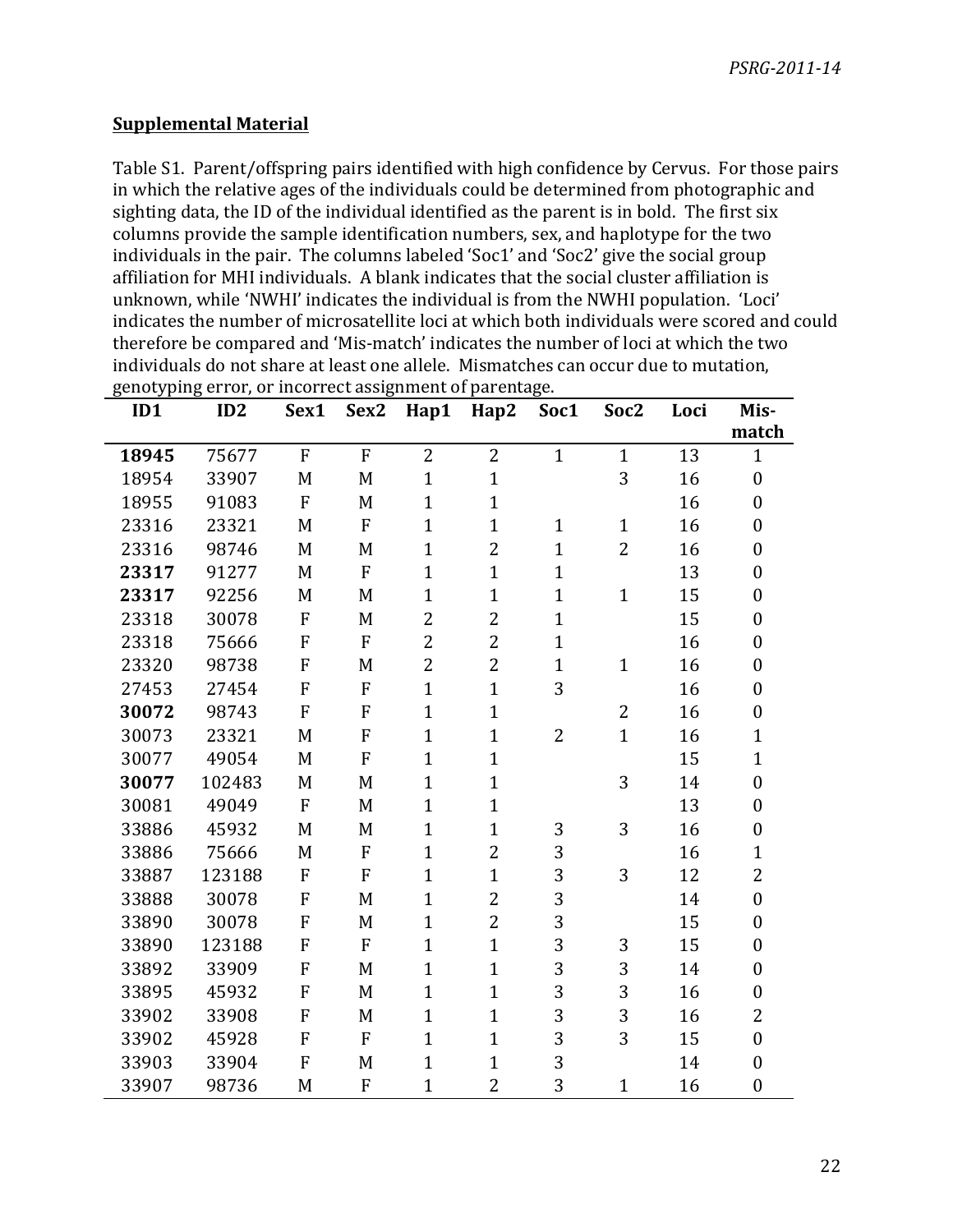# **Supplemental Material**

Table S1. Parent/offspring pairs identified with high confidence by Cervus. For those pairs in which the relative ages of the individuals could be determined from photographic and sighting data, the ID of the individual identified as the parent is in bold. The first six columns provide the sample identification numbers, sex, and haplotype for the two individuals in the pair. The columns labeled 'Soc1' and 'Soc2' give the social group affiliation for MHI individuals. A blank indicates that the social cluster affiliation is unknown, while 'NWHI' indicates the individual is from the NWHI population. 'Loci' indicates the number of microsatellite loci at which both individuals were scored and could therefore be compared and 'Mis-match' indicates the number of loci at which the two individuals do not share at least one allele. Mismatches can occur due to mutation, genotyping error, or incorrect assignment of parentage.

| ID1   | ID2    | Sex1           | Sex2           | Hap1           | Hap2           | Soc1           | Soc <sub>2</sub> | Loci | Mis-             |
|-------|--------|----------------|----------------|----------------|----------------|----------------|------------------|------|------------------|
|       |        |                |                |                |                |                |                  |      | match            |
| 18945 | 75677  | $\overline{F}$ | $\overline{F}$ | $\overline{2}$ | $\overline{2}$ | $\mathbf{1}$   | $\overline{1}$   | 13   | $\mathbf{1}$     |
| 18954 | 33907  | M              | M              | $\mathbf{1}$   | $\mathbf{1}$   |                | 3                | 16   | $\boldsymbol{0}$ |
| 18955 | 91083  | $\overline{F}$ | M              | $\mathbf{1}$   | $\mathbf{1}$   |                |                  | 16   | $\overline{0}$   |
| 23316 | 23321  | M              | ${\bf F}$      | $\mathbf{1}$   | $\mathbf{1}$   | $\mathbf{1}$   | $\overline{1}$   | 16   | $\boldsymbol{0}$ |
| 23316 | 98746  | M              | M              | $\mathbf{1}$   | $\overline{c}$ | $\mathbf{1}$   | $\overline{2}$   | 16   | $\overline{0}$   |
| 23317 | 91277  | M              | F              | $\mathbf{1}$   | $\mathbf{1}$   | $\mathbf{1}$   |                  | 13   | $\overline{0}$   |
| 23317 | 92256  | M              | M              | $\mathbf{1}$   | $\mathbf{1}$   | $\mathbf{1}$   | $\mathbf{1}$     | 15   | $\boldsymbol{0}$ |
| 23318 | 30078  | $\overline{F}$ | M              | $\overline{2}$ | $\overline{2}$ | $\mathbf{1}$   |                  | 15   | $\boldsymbol{0}$ |
| 23318 | 75666  | F              | F              | $\overline{2}$ | $\overline{2}$ | $\mathbf{1}$   |                  | 16   | $\overline{0}$   |
| 23320 | 98738  | $\mathbf F$    | M              | $\overline{2}$ | $\overline{2}$ | $\mathbf{1}$   | $\mathbf{1}$     | 16   | $\boldsymbol{0}$ |
| 27453 | 27454  | F              | ${\bf F}$      | $\mathbf{1}$   | $\mathbf{1}$   | 3              |                  | 16   | $\overline{0}$   |
| 30072 | 98743  | F              | ${\bf F}$      | $\mathbf{1}$   | $\mathbf{1}$   |                | $\overline{2}$   | 16   | $\boldsymbol{0}$ |
| 30073 | 23321  | M              | ${\bf F}$      | $\mathbf{1}$   | $\mathbf{1}$   | $\overline{2}$ | $\overline{1}$   | 16   | $\mathbf{1}$     |
| 30077 | 49054  | M              | ${\bf F}$      | $\mathbf{1}$   | $\mathbf{1}$   |                |                  | 15   | $\mathbf{1}$     |
| 30077 | 102483 | M              | M              | $\mathbf{1}$   | $\mathbf{1}$   |                | 3                | 14   | $\boldsymbol{0}$ |
| 30081 | 49049  | F              | M              | $\mathbf{1}$   | $\mathbf{1}$   |                |                  | 13   | $\boldsymbol{0}$ |
| 33886 | 45932  | M              | M              | $\mathbf{1}$   | $\mathbf{1}$   | 3              | 3                | 16   | $\boldsymbol{0}$ |
| 33886 | 75666  | M              | ${\bf F}$      | $\mathbf{1}$   | $\overline{2}$ | 3              |                  | 16   | $\mathbf{1}$     |
| 33887 | 123188 | F              | ${\bf F}$      | $\mathbf{1}$   | $\mathbf{1}$   | 3              | 3                | 12   | $\overline{2}$   |
| 33888 | 30078  | F              | M              | $\mathbf{1}$   | $\overline{2}$ | 3              |                  | 14   | $\boldsymbol{0}$ |
| 33890 | 30078  | ${\bf F}$      | M              | $\mathbf{1}$   | $\overline{2}$ | 3              |                  | 15   | $\boldsymbol{0}$ |
| 33890 | 123188 | F              | ${\bf F}$      | $\mathbf{1}$   | $\mathbf{1}$   | 3              | 3                | 15   | $\overline{0}$   |
| 33892 | 33909  | $\overline{F}$ | M              | $\mathbf{1}$   | $\mathbf{1}$   | 3              | 3                | 14   | $\boldsymbol{0}$ |
| 33895 | 45932  | ${\bf F}$      | M              | $\mathbf{1}$   | $\mathbf{1}$   | 3              | 3                | 16   | $\boldsymbol{0}$ |
| 33902 | 33908  | F              | M              | $\mathbf{1}$   | $\mathbf{1}$   | 3              | 3                | 16   | $\overline{2}$   |
| 33902 | 45928  | $\mathbf F$    | ${\bf F}$      | $\mathbf{1}$   | $\mathbf{1}$   | 3              | 3                | 15   | $\boldsymbol{0}$ |
| 33903 | 33904  | F              | M              | $\mathbf{1}$   | $\mathbf{1}$   | 3              |                  | 14   | $\boldsymbol{0}$ |
| 33907 | 98736  | M              | F              | $\overline{1}$ | $\overline{2}$ | 3              | $\mathbf{1}$     | 16   | $\boldsymbol{0}$ |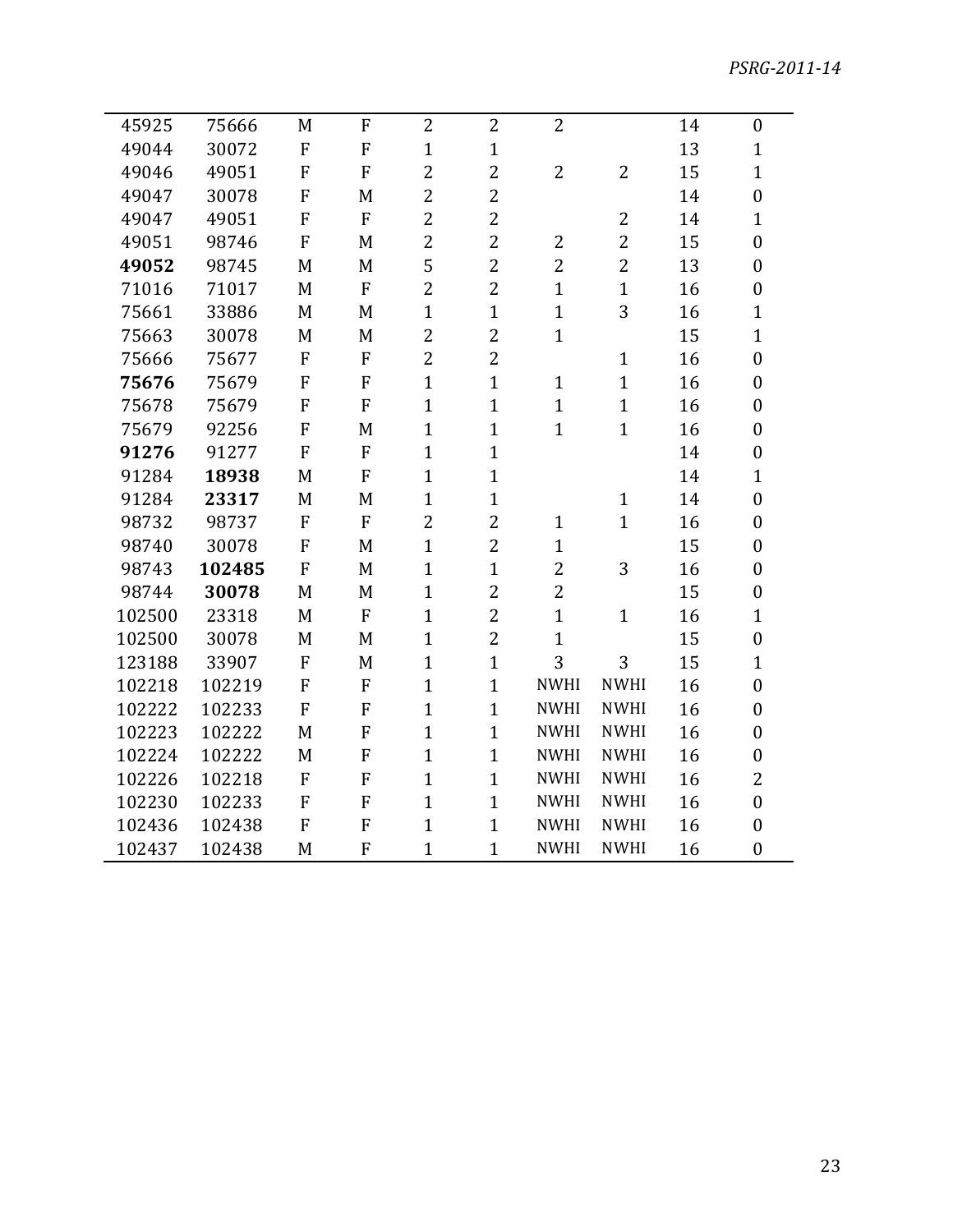| 45925  | 75666  | M         | ${\bf F}$      | 2              | $\overline{2}$ | $\overline{2}$ |                | 14 | $\boldsymbol{0}$ |
|--------|--------|-----------|----------------|----------------|----------------|----------------|----------------|----|------------------|
| 49044  | 30072  | ${\bf F}$ | ${\bf F}$      | $\overline{1}$ | $\mathbf{1}$   |                |                | 13 | $\mathbf{1}$     |
| 49046  | 49051  | F         | F              | $\overline{2}$ | $\overline{2}$ | $\overline{2}$ | $\overline{2}$ | 15 | $\mathbf{1}$     |
| 49047  | 30078  | ${\bf F}$ | M              | $\overline{2}$ | $\overline{2}$ |                |                | 14 | $\boldsymbol{0}$ |
| 49047  | 49051  | F         | $\overline{F}$ | $\overline{2}$ | $\overline{2}$ |                | 2              | 14 | $\mathbf{1}$     |
| 49051  | 98746  | F         | M              | $\overline{2}$ | $\overline{2}$ | $\overline{2}$ | $\overline{2}$ | 15 | $\boldsymbol{0}$ |
| 49052  | 98745  | M         | M              | 5              | $\overline{2}$ | $\overline{2}$ | $\overline{2}$ | 13 | $\boldsymbol{0}$ |
| 71016  | 71017  | M         | ${\bf F}$      | $\overline{c}$ | $\overline{2}$ | $\mathbf{1}$   | $\mathbf{1}$   | 16 | $\boldsymbol{0}$ |
| 75661  | 33886  | M         | M              | $\mathbf{1}$   | $\mathbf{1}$   | $\mathbf{1}$   | 3              | 16 | $\mathbf{1}$     |
| 75663  | 30078  | M         | M              | $\overline{2}$ | $\overline{2}$ | $\mathbf{1}$   |                | 15 | $\mathbf{1}$     |
| 75666  | 75677  | ${\bf F}$ | $\overline{F}$ | $\overline{2}$ | $\overline{2}$ |                | $\mathbf{1}$   | 16 | $\boldsymbol{0}$ |
| 75676  | 75679  | ${\bf F}$ | $\overline{F}$ | $\mathbf{1}$   | $\mathbf{1}$   | $\mathbf{1}$   | $\mathbf{1}$   | 16 | $\boldsymbol{0}$ |
| 75678  | 75679  | ${\bf F}$ | $\overline{F}$ | $\overline{1}$ | $\mathbf{1}$   | $\mathbf{1}$   | $\mathbf{1}$   | 16 | $\boldsymbol{0}$ |
| 75679  | 92256  | ${\bf F}$ | M              | $\mathbf{1}$   | $\mathbf{1}$   | $\mathbf{1}$   | $\mathbf{1}$   | 16 | $\boldsymbol{0}$ |
| 91276  | 91277  | ${\bf F}$ | $\overline{F}$ | $\overline{1}$ | $\mathbf{1}$   |                |                | 14 | $\boldsymbol{0}$ |
| 91284  | 18938  | M         | F              | $\overline{1}$ | $\mathbf{1}$   |                |                | 14 | $\mathbf{1}$     |
| 91284  | 23317  | M         | M              | $\overline{1}$ | $\mathbf{1}$   |                | $\mathbf{1}$   | 14 | $\boldsymbol{0}$ |
| 98732  | 98737  | ${\bf F}$ | $\overline{F}$ | $\overline{2}$ | $\overline{2}$ | $\mathbf{1}$   | $\mathbf{1}$   | 16 | $\boldsymbol{0}$ |
| 98740  | 30078  | ${\bf F}$ | M              | $\overline{1}$ | $\overline{2}$ | $\mathbf{1}$   |                | 15 | $\boldsymbol{0}$ |
| 98743  | 102485 | ${\bf F}$ | M              | $\mathbf{1}$   | $\mathbf{1}$   | $\overline{2}$ | 3              | 16 | $\boldsymbol{0}$ |
| 98744  | 30078  | M         | M              | $\mathbf{1}$   | $\overline{2}$ | $\overline{2}$ |                | 15 | $\boldsymbol{0}$ |
| 102500 | 23318  | M         | $\overline{F}$ | $\overline{1}$ | $\overline{2}$ | $\mathbf{1}$   | $\mathbf{1}$   | 16 | $\mathbf{1}$     |
| 102500 | 30078  | M         | M              | $\overline{1}$ | $\overline{2}$ | $\mathbf{1}$   |                | 15 | $\boldsymbol{0}$ |
| 123188 | 33907  | F         | M              | $\mathbf{1}$   | $\mathbf{1}$   | 3              | 3              | 15 | $\mathbf{1}$     |
| 102218 | 102219 | ${\bf F}$ | F              | $\overline{1}$ | $\mathbf{1}$   | <b>NWHI</b>    | <b>NWHI</b>    | 16 | $\boldsymbol{0}$ |
| 102222 | 102233 | F         | F              | $\overline{1}$ | $\mathbf{1}$   | <b>NWHI</b>    | <b>NWHI</b>    | 16 | $\boldsymbol{0}$ |
| 102223 | 102222 | M         | F              | $\mathbf{1}$   | $\mathbf{1}$   | <b>NWHI</b>    | <b>NWHI</b>    | 16 | $\boldsymbol{0}$ |
| 102224 | 102222 | M         | ${\bf F}$      | $\mathbf{1}$   | $\mathbf{1}$   | <b>NWHI</b>    | <b>NWHI</b>    | 16 | $\boldsymbol{0}$ |
| 102226 | 102218 | ${\bf F}$ | $\overline{F}$ | $\mathbf{1}$   | $\mathbf{1}$   | <b>NWHI</b>    | <b>NWHI</b>    | 16 | $\overline{2}$   |
| 102230 | 102233 | ${\bf F}$ | F              | $\mathbf{1}$   | $\mathbf{1}$   | <b>NWHI</b>    | <b>NWHI</b>    | 16 | $\boldsymbol{0}$ |
| 102436 | 102438 | ${\bf F}$ | F              | $\mathbf{1}$   | $\mathbf{1}$   | <b>NWHI</b>    | <b>NWHI</b>    | 16 | $\boldsymbol{0}$ |
| 102437 | 102438 | M         | F              | $\mathbf{1}$   | $\mathbf{1}$   | <b>NWHI</b>    | <b>NWHI</b>    | 16 | $\boldsymbol{0}$ |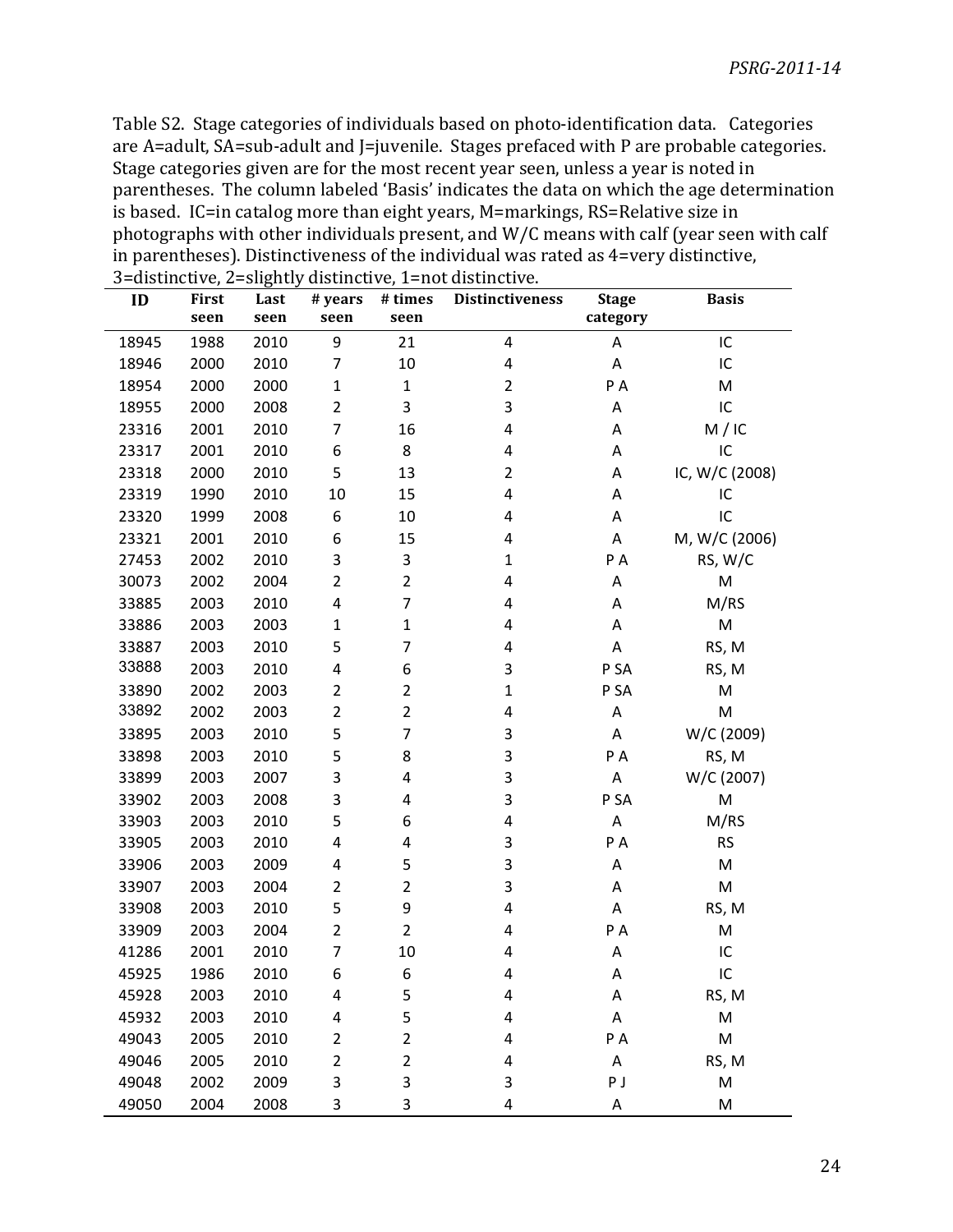Table S2. Stage categories of individuals based on photo-identification data. Categories are A=adult, SA=sub-adult and J=juvenile. Stages prefaced with P are probable categories. Stage categories given are for the most recent year seen, unless a year is noted in parentheses. The column labeled 'Basis' indicates the data on which the age determination is based. IC=in catalog more than eight years, M=markings, RS=Relative size in photographs with other individuals present, and W/C means with calf (year seen with calf in parentheses). Distinctiveness of the individual was rated as =very distinctive, 3=distinctive, 2=slightly distinctive, 1=not distinctive.

| ID    | First | Last | # years        | # times        | <b>Distinctiveness</b> | <b>Stage</b> | <b>Basis</b>   |
|-------|-------|------|----------------|----------------|------------------------|--------------|----------------|
|       | seen  | seen | seen           | seen           |                        | category     |                |
| 18945 | 1988  | 2010 | 9              | 21             | 4                      | A            | IC             |
| 18946 | 2000  | 2010 | 7              | 10             | 4                      | A            | IC             |
| 18954 | 2000  | 2000 | $\mathbf{1}$   | $\mathbf{1}$   | $\overline{2}$         | PA           | M              |
| 18955 | 2000  | 2008 | $\overline{2}$ | 3              | 3                      | A            | IC             |
| 23316 | 2001  | 2010 | 7              | 16             | 4                      | Α            | M / IC         |
| 23317 | 2001  | 2010 | 6              | 8              | 4                      | A            | IC             |
| 23318 | 2000  | 2010 | 5              | 13             | $\overline{2}$         | A            | IC, W/C (2008) |
| 23319 | 1990  | 2010 | 10             | 15             | 4                      | Α            | IC             |
| 23320 | 1999  | 2008 | 6              | 10             | 4                      | A            | IC             |
| 23321 | 2001  | 2010 | 6              | 15             | 4                      | A            | M, W/C (2006)  |
| 27453 | 2002  | 2010 | 3              | 3              | $\mathbf{1}$           | P A          | RS, W/C        |
| 30073 | 2002  | 2004 | $\overline{2}$ | $\overline{2}$ | 4                      | A            | M              |
| 33885 | 2003  | 2010 | 4              | 7              | 4                      | A            | M/RS           |
| 33886 | 2003  | 2003 | 1              | $\mathbf{1}$   | 4                      | Α            | M              |
| 33887 | 2003  | 2010 | 5              | 7              | 4                      | A            | RS, M          |
| 33888 | 2003  | 2010 | 4              | 6              | 3                      | P SA         | RS, M          |
| 33890 | 2002  | 2003 | 2              | $\mathbf{2}$   | $\mathbf{1}$           | P SA         | M              |
| 33892 | 2002  | 2003 | $\overline{2}$ | $\overline{2}$ | 4                      | A            | M              |
| 33895 | 2003  | 2010 | 5              | 7              | 3                      | A            | W/C (2009)     |
| 33898 | 2003  | 2010 | 5              | 8              | 3                      | P A          | RS, M          |
| 33899 | 2003  | 2007 | 3              | 4              | 3                      | A            | W/C (2007)     |
| 33902 | 2003  | 2008 | 3              | 4              | 3                      | P SA         | M              |
| 33903 | 2003  | 2010 | 5              | 6              | 4                      | A            | M/RS           |
| 33905 | 2003  | 2010 | 4              | 4              | 3                      | PA           | <b>RS</b>      |
| 33906 | 2003  | 2009 | 4              | 5              | 3                      | A            | M              |
| 33907 | 2003  | 2004 | $\overline{2}$ | $\overline{2}$ | 3                      | Α            | M              |
| 33908 | 2003  | 2010 | 5              | 9              | 4                      | A            | RS, M          |
| 33909 | 2003  | 2004 | $\overline{2}$ | $\overline{2}$ | 4                      | P A          | M              |
| 41286 | 2001  | 2010 | 7              | 10             | 4                      | Α            | IC             |
| 45925 | 1986  | 2010 | 6              | 6              | 4                      | A            | IC             |
| 45928 | 2003  | 2010 | 4              | 5              | 4                      | A            | RS, M          |
| 45932 | 2003  | 2010 | 4              | 5              | 4                      | A            | M              |
| 49043 | 2005  | 2010 | 2              | $\mathbf{2}$   | 4                      | PA           | M              |
| 49046 | 2005  | 2010 | 2              | $\overline{2}$ | 4                      | A            | RS, M          |
| 49048 | 2002  | 2009 | 3              | 3              | 3                      | ΡJ           | M              |
| 49050 | 2004  | 2008 | 3              | 3              | 4                      | Α            | M              |